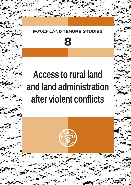## **FNURE STUDIES**



**ISSN 1020-3117**

# **Access to rural land and land administration after violent conflicts**

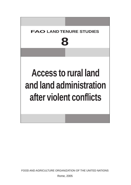

FOOD AND AGRICULTURE ORGANIZATION OF THE UNITED NATIONS

Rome, 2005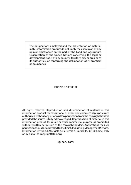The designations employed and the presentation of material in this information product do not imply the expression of any opinion whatsoever on the part of the Food and Agriculture Organization of the United Nations concerning the legal or development status of any country, territory, city or area or of its authorities, or concerning the delimitation of its frontiers or boundaries.

ISBN 92-5-105343-X

All rights reserved. Reproduction and dissemination of material in this information product for educational or other non-commercial purposes are authorized without any prior written permission from the copyright holders provided the source is fully acknowledged. Reproduction of material in this information product for resale or other commercial purposes is prohibited without written permission of the copyright holders. Applications for such permission should be addressed to the Chief, Publishing Management Service, Information Division, FAO, Viale delle Terme di Caracalla, 00100 Rome, Italy or by e-mail to copyright@fao.org

C FAO 2005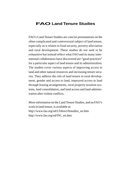### **FAOLand Tenure Studies**

FAO's Land Tenure Studies are concise presentations on the often complicated and controversial subject of land tenure, especially as it relates to food security, poverty alleviation and rural development. These studies do not seek to be exhaustive but instead reflect what FAO and its many international collaborators have discovered are "good practices" for a particular aspect of land tenure and its administration. The studies cover various aspects of improving access to land and other natural resources and increasing tenure security. They address the role of land tenure in rural development, gender and access to land, improved access to land through leasing arrangements, rural property taxation systems, land consolidation, and land access and land administration after violent conflicts.

More information on the Land Tenure Studies, and on FAO's work in land tenure, is available at: http://www.fao.org/sd/LTdirect/ltstudies\_en.htm http://www.fao.org/sd/IN1\_en.htm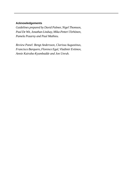#### **Acknowledgements**

*Guidelines prepared by David Palmer, Nigel Thomson, Paul De Wit, Jonathan Lindsay, Mika-Petteri Törhönen, Pamela Pozarny and Paul Mathieu.*

*Review Panel: Bengt Andersson, Clarissa Augustinus, Francisco Barquero, Florence Egal, Vladimir Evtimov, Annie Kairaba-Kyambadde and Jon Unruh.*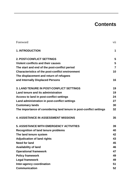## **Contents**

| Foreword                                                            | vii |
|---------------------------------------------------------------------|-----|
| <b>1. INTRODUCTION</b>                                              | 1   |
| <b>2. POST-CONFLICT SETTINGS</b>                                    | 5   |
| Violent conflicts and their causes                                  | 5   |
| The start and end of the post-conflict period                       | 7   |
| Characteristics of the post-conflict environment                    | 10  |
| The displacement and return of refugees                             |     |
| and Internally Displaced Persons                                    | 16  |
| <b>3. LAND TENURE IN POST-CONFLICT SETTINGS</b>                     | 19  |
| Land tenure and its administration                                  | 19  |
| Access to land in post-conflict settings                            | 24  |
| Land administration in post-conflict settings                       | 27  |
| <b>Customary lands</b>                                              | 30  |
| The importance of considering land tenure in post-conflict settings | 32  |
| <b>4. ASSISTANCE IN ASSESSMENT MISSIONS</b>                         | 35  |
| <b>5. ASSISTANCE WITH EMERGENCY ACTIVITIES</b>                      | 39  |
| <b>Recognition of land tenure problems</b>                          | 40  |
| The land tenure system                                              | 42  |
| <b>Adjudication of land rights</b>                                  | 43  |
| <b>Need for land</b>                                                | 45  |
| Availability of land                                                | 46  |
| <b>Operational framework</b>                                        | 47  |
| <b>Policy framework</b>                                             | 49  |
| Legal framework                                                     | 49  |
| Inter-agency coordination                                           | 51  |
| Communication                                                       | 52  |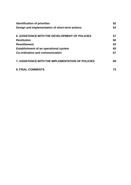| <b>Identification of priorities</b>                      | 52 |
|----------------------------------------------------------|----|
| Design and implementation of short-term actions          | 53 |
| <b>6. ASSISTANCE WITH THE DEVELOPMENT OF POLICIES</b>    | 57 |
| <b>Restitution</b>                                       | 60 |
|                                                          |    |
| <b>Resettlement</b>                                      | 63 |
| Establishment of an operational system                   | 65 |
| Co-ordination and communication                          | 67 |
| <b>7. ASSISTANCE WITH THE IMPLEMENTATION OF POLICIES</b> | 69 |
| <b>8. FINAL COMMENTS</b>                                 | 73 |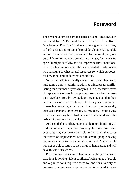## **Foreword**

The present volume is part of a series of Land Tenure Studies produced by FAO's Land Tenure Service of the Rural Development Division. Land tenure arrangements are a key to food security and sustainable rural development. Equitable and secure access to land, especially for the rural poor, is a crucial factor for reducing poverty and hunger, for increasing agricultural productivity, and for improving rural conditions. Effective land tenure institutions are needed to administer who has rights to what natural resources for which purposes, for how long, and under what conditions.

Violent conflicts typically cause significant changes to land tenure and its administration. A widespread conflict lasting for a number of years may result in successive waves of displacement of people. People may lose their land because they have been forcibly evicted, or they may abandon their land because of fear of violence. Those displaced are forced to seek land to settle, either within the country as Internally Displaced Persons, or externally as refugees. People living in safer areas may have lost access to their land with the arrival of those who are displaced.

At the end of a conflict, many people return home only to find that others occupy their property. In some cases such occupants may not have a valid claim. In many other cases the waves of displacement result in several people having legitimate claims to the same parcel of land. Many people will not be able to return to their original home areas and will have to settle elsewhere.

Providing secure access to land is particularly complex in situations following violent conflicts. A wide range of people and organizations require access to land for a variety of purposes. In some cases temporary access is required; in other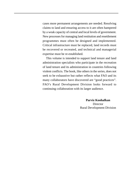cases more permanent arrangements are needed. Resolving claims to land and ensuring access to it are often hampered by a weak capacity of central and local levels of government. New processes for managing land restitution and resettlement programmes must often be designed and implemented. Critical infrastructure must be replaced, land records must be recovered or recreated, and technical and managerial expertise must be re-established.

This volume is intended to support land tenure and land administration specialists who participate in the recreation of land tenure and its administration in countries following violent conflicts. The book, like others in the series, does not seek to be exhaustive but rather reflects what FAO and its many collaborators have discovered are "good practices". FAO's Rural Development Division looks forward to continuing collaboration with its larger audience.

> **Parviz Koohafkan**  Director Rural Development Division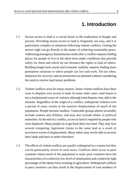## **1. Introduction**

- Secure access to land is a crucial factor in the eradication of hunger and poverty. Providing secure access to land is frequently not easy, and it is particularly complex in situations following violent conflicts. Getting the answer right can go directly to the matter of achieving sustainable peace. Addressing emergency humanitarian needs after a conflict requires finding places for people to live in the short-term under conditions that provide safety for them and which do not threaten the rights to land of others. Building longer-term social and economic stability requires finding more permanent solutions to where people can live and work. Yet too often, initiatives for recovery and reconstruction are planned without considering the need to resolve land tenure problems. 1.1
- Violent conflicts arise for many reasons. Some violent conflicts have their roots in disputes over access to land. In many other cases, land tenure is not a fundamental cause of violence although land disputes may add to the tensions. Regardless of the origin of a conflict, widespread violence over a period of years results in the massive displacement of much of the population. People become landless. Vulnerable groups almost invariably include women and children, and may also include ethnic or political minorities. At the end of a conflict, access to land is required by people who were displaced. Many people try to get back their own land. They may face several competing, legitimate claims to the same land as a result of successive waves of displacement. Many others may not be able to recover their lands and have to settle elsewhere. 1.2
- The effects of violent conflicts are usually widespread in a country but they can be particularly severe in rural areas. Conflicts often occur in poor countries where much of the population is rural: poor countries have the characteristics of a relatively low level of urbanization and a relatively high percentage of the labour force working in agriculture. Widespread conflicts in poor countries can thus result in the displacement of vast numbers of 1.3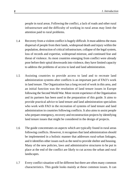people in rural areas. Following the conflict, a lack of roads and other rural infrastructure and the difficulty of working in rural areas may limit the attention paid to rural problems.

- Recovery from a violent conflict is hugely difficult. It must address the mass dispersal of people from their lands, widespread death and injury within the population, destruction of critical infrastructure, collapse of the legal system, loss of records and expertise, widespread mistrust, and continued fear and threat of violence. As most countries emerging from conflict were already poor before their spiral downwards into violence, they have limited capacity to address the problems of access to land and land administration. 1.4
- Assisting countries to provide access to land and to recreate land administration systems after conflicts is an important part of FAO's work in land tenure. The Organization has a long record of work in this area, and an initial function was the resolution of land tenure issues in Europe following the Second World War. More recent experience of the Organization and its partners has been used in the preparation of this guide. It aims to provide practical advice to land tenure and land administration specialists who work with FAO in the recreation of systems of land tenure and land administration in countries following conflicts. It also aims to assist people who prepare emergency, recovery and reconstruction projects by identifying land tenure issues that might be considered in the design of projects. 1.5
- The guide concentrates on aspects which are typically found in rural areas following conflicts. However, it recognises that land administration should be implemented in a holistic manner that addresses rural-urban linkages, and it identifies other issues such as the need to provide shelter and housing. Many of the new policies, laws and administrative structures to be put in place at the end of the conflict are likely to cut across the urban and rural landscapes. 1.6
- Every conflict situation will be different but there are often many common characteristics. This guide looks mainly at these common issues. It can 1.7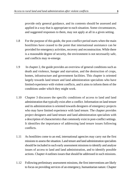provide only general guidance, and its contents should be assessed and applied in a way that is appropriate to each situation. Some circumstances, and suggested responses to them, may not apply at all in a given setting.

- For the purpose of this guide, the post-conflict period starts when the main hostilities have ceased to the point that international assistance can be provided for emergency activities, recovery and reconstruction. While there is a reasonable degree of security, the environment is not necessarily safe, and conflicts may re-emerge. 1.8
- In chapter 2, the guide provides an overview of general conditions such as death and violence, hunger and starvation, and the destruction of crops, homes, infrastructure and government facilities. This chapter is oriented largely towards land tenure and land administration specialists who have limited experience with violent conflicts, and it aims to inform them of the conditions under which they might work. 1.9
- Chapter 3 discusses the specific conditions of access to land and land administration that typically exist after a conflict. Information on land tenure and its administration is oriented towards designers of emergency projects who may have limited experience with land tenure. The chapter provides project designers and land tenure and land administration specialists with a description of characteristics that commonly exist in post-conflict settings. It identifies the importance of addressing land tenure issues following conflicts. 1.10
- As hostilities come to an end, international agencies may carry out the first missions to assess the situation. Land tenure and land administration specialists should be included in such early assessment missions to identify and analyse issues of access to land and land administration, and to identify possible actions. Chapter 4 outlines issues that should be addressed in such missions. 1.11
- Following preliminary assessment missions, the first interventions are likely to focus on providing services of an emergency, humanitarian nature. Chapter 1.12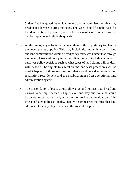5 identifies key questions on land tenure and its administration that may need to be addressed during this stage. This work should form the basis for the identification of priorities, and for the design of short-term actions that can be implemented relatively quickly.

- As the emergency activities conclude, there is the opportunity to plan for the development of policy. This may include dealing with access to land and land administration within a broad policy framework rather than through a number of isolated policy initiatives. It is likely to include a number of narrower policy decisions such as what types of land claims will be dealt with, who will be eligible to submit claims, and what procedures will be used. Chapter 6 outlines key questions that should be addressed regarding restitution, resettlement and the establishment of an operational land administration system. 1.13
- The consolidation of peace efforts allows for land policies, both broad and narrow, to be implemented. Chapter 7 outlines key questions that could be encountered, particularly with the monitoring and evaluation of the effects of such policies. Finally, chapter 8 summarises the roles that land administrators may play as advisors throughout the process. 1.14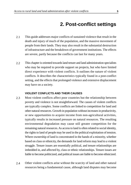## **2. Post-conflict settings**

- This guide addresses major conflicts of sustained violence that result in the death and injury of much of the population, and the massive movement of people from their lands. They may also result in the substantial destruction of infrastructure and the breakdown of government institutions. The effects are severe, partly because the conflicts can last for many years. 2.1
- This chapter is oriented towards land tenure and land administration specialists who may be required to provide support on projects, but who have limited direct experience with violent conflicts. It outlines the nature of violent conflicts. It describes the characteristics typically found in a post-conflict setting, and the effects that prolonged violence and extensive displacement may have on a society. 2.2

#### **VIOLENT CONFLICTS AND THEIR CAUSES**

- Most violent conflicts affect poor countries but the relationship between poverty and violence is not straightforward. The causes of violent conflicts are typically complex. Some conflicts are linked to competition for land and other natural resources. Growth in population without increases in productivity, or new opportunities to acquire income from non-agricultural activities, typically results in increased pressure on natural resources. The resulting environmental degradation may cause still greater competition for the remaining natural resources. As access to land is often related to social identity, the rights to land of people may be used in the political exploitation of tension. Where ownership of land is concentrated in the hands of a minority, whether based on class or ethnicity, the demands for land reform may lead to a violent struggle. Tenure issues are essentially political, and tenure relationships are imbedded in, and affected by, class or ethnic relationships. Tenure issues are liable to become politicized, and political issues are liable to become ethnicized. 2.3
- Other violent conflicts arise without the scarcity of land and other natural resources being a fundamental cause, although land disputes may become 2.4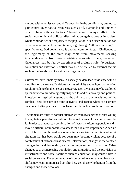merged with other issues, and different sides in the conflict may attempt to gain control over natural resources such as oil, diamonds and timber in order to finance their activities. A broad factor of many conflicts is the social, economic and political discrimination against groups in society, whether minorities or a majority of the population. Such discrimination can often have an impact on land tenure, e.g. through "ethnic cleansing" in specific areas. Bad governance is another common factor. Challenges to the legitimacy of the state may come from movements seeking independence, or from groups wishing to overturn the government. Grievances may be fed by experiences of arbitrary rule, favouritism, corruption and extortion. Conflict may also be fuelled by external factors such as the instability of a neighbouring country.

- Grievances, even if held by many in a society, seldom lead to violence without mobilization by leaders. Divisions such as ethnicity and religion do not often result in violence by themselves. However, such divisions may be exploited by leaders who are ideologically inspired to address poverty and political injustices, or inspired by greed and the ability to extract wealth out of the conflict. These divisions can come to involve land in cases where social groups are connected to specific areas such as ethnic homelands or home territories. 2.5
- The immediate cause of conflict often arises from leaders who are not willing to negotiate a peaceful resolution. The actual causes of the conflict may be far harder to diagnose: a combination of factors is often responsible and it may be difficult or impossible to assess their relative importance. A certain mix of factors might lead to violence in one society but not in another. A situation that has been stable for years may become violent because of a combination of factors such as external interventions, changes in the weather, changes in local leadership, and widening economic disparities. Other changes such as increasing population and migration, and the provision of infrastructure and social facilities such as education, may cause shifts in social consensus. The accumulation of sources of tension arising from such shifts may result in increased conflict between those who benefit from the changes and those who lose. 2.6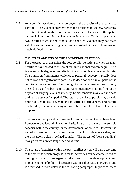As a conflict escalates, it may go beyond the capacity of the leaders to control it. The violence may entrench the divisions in society, hardening the interests and positions of the various groups. Because of the spatial nature of violent conflict and land tenure, it may be difficult to separate the two in terms of cause and conduct of a conflict. Violence may not cease with the resolution of an original grievance; instead, it may continue around newly defined positions. 2.7

#### **THE START AND END OF THE POST-CONFLICT PERIOD**

- For the purposes of this guide, the post-conflict period starts when the main hostilities have ceased to the point that international aid can begin. There is a reasonable degree of security but the situation is not necessarily safe. The transition from intense violence to peaceful recovery typically does not follow a straightforward path. It also does not occur in all parts of the country at the same time. The signing of a peace agreement may signify the end of a conflict but hostility and resentment may continue for months or years at varying levels of intensity. Social tensions may even increase during the post-conflict period. The return of displaced people may provide opportunities to seek revenge and to settle old grievances, and people displaced by the violence may return to find that others have taken their property. 2.8
- The post-conflict period is considered to end at the point when basic legal frameworks and land administration institutions exist and there is reasonable capacity within the country for the development of policies. However, the end of a post-conflict period may be as difficult to define as its start, and there is seldom a clearly defined boundary. The process of "peace-building" may go on for a much longer period of time. 2.9
- The nature of activities within the post-conflict period will vary according to the extent to which progress is made. Activities can be characterized as having a focus on emergency relief, and on the development and implementation of policy. This categorization is illustrated in Figure 1, and is described in more detail in the following paragraphs. In practice, these 2.10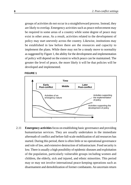groups of activities do not occur in a straightforward process. Instead, they are likely to overlap. Emergency activities such as peace enforcement may be required in some areas of a country while some degree of peace may exist in other areas. As a result, activities related to the development of policy may start unevenly across the country. Likewise, institutions may be established in law before there are the resources and capacity to implement the plans. While there may not be a steady move to normality as suggested by Figure 1, the ability for the development and implementation of policy will depend on the extent to which peace can be maintained. The greater the level of peace, the more likely it will be that policies will be developed and implemented.

#### **FIGURE 1**



**Emergency activities** focus on establishing basic governance and providing humanitarian services. They are usually undertaken in the immediate aftermath of conflict and before full-scale mobilization of aid resources has started. During this period, there is often little or no operational governance and rule of law, and extensive destruction of infrastructure. Food security is low. There is usually a high possibility of epidemic diseases and exploitation of the population, particularly vulnerable groups including women and children, the elderly, sick and injured, and ethnic minorities. This period may or may not involve international peace-keeping operations such as disarmament and demobilization of former combatants. An uncertain return 2.11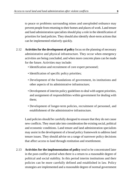to peace or problems surrounding mines and unexploded ordnance may prevent people from returning to their homes and places of work. Land tenure and land administration specialists should play a role in the identification of priorities for land policies. They should also identify short-term actions that can be implemented relatively quickly.

- **Activities for the development of policy** focus on the planning of necessary administrative and physical infrastructure. They occur when emergency activities are being concluded, and when more concrete plans can be made for the future. Activities may include: 2.12
	- Identification and recruitment of core expert personnel;
	- Identification of specific policy priorities;
	- Development of the foundations of government, its institutions and other aspects of its administrative infrastructure;
	- Development of interim policy guidelines to deal with urgent priorities, and assignment of responsibilities within government for dealing with them;
	- Development of longer-term policies, recruitment of personnel, and establishment of the administrative infrastructure.

Land policies should be carefully designed to ensure that they do not cause new conflicts. They must take into consideration the existing social, political and economic conditions. Land tenure and land administration specialists may assist in the development of a broad policy framework to address land tenure issues. They should advise on a range of narrower policy decisions that affect access to land through restitution and resettlement.

**Activities for the implementation of policy** tend to be concentrated later in the post-conflict period when there is a return to a reasonable degree of political and social stability. In this period interim institutions and their policies can be more carefully defined and established in law. Policy strategies are implemented and a reasonable degree of normal government 2.13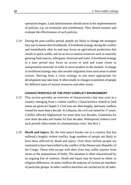operations begins. Land administrators should assist in the implementation of policies, e.g. on restitution and resettlement. They should monitor and evaluate the effectiveness of such policies.

During the post-conflict period, people are likely to change the strategies they use to ensure their livelihoods. A livelihood strategy during the conflict and immediately after its end may focus on agricultural production that results in quick yields, and on access to natural resources such as naturally growing food sources, wild game, firewood and water. A livelihood strategy in a later period may focus on access to land and water closer to transportation networks in order to move produce to the markets. A change in livelihood strategy may also involve migration from rural areas to urban centres. Moving from a crisis strategy to one more appropriate for development may take time. It often results in changes in priorities of people for different types of natural resources and other assets. 2.14

#### **CHARACTERISTICS OF THE POST-CONFLICT ENVIRONMENT**

- This section provides an overview of characteristics that may exist in a country emerging from a violent conflict. Characteristics related to land tenure are given in Chapter 3. Civil wars are often lengthy, and many conflicts extend for more than a decade. In Lebanon, the civil war lasted for 17 years. Conflict affected Afghanistan for more than two decades, Guatemala for over three decades and Sudan for four decades. Widespread violence over such periods often results in a humanitarian crisis. See Box 1. 2.15
- **Death and injury.** By the time peace breaks out in a country that has suffered a lengthy violent conflict, huge numbers of people are likely to have been affected by death and injury. Over three million people are estimated to have been killed in the conflict of the Democratic Republic of the Congo. Those who escape with their lives may suffer injuries from mines or the amputations of limbs. The situation is often characterized by an ongoing fear of violence. Death and injury may be based on ethnic or religious differences. In some conflicts the majority of victims are members of particular groups. In other conflicts atrocities are carried out by all sides. 2.16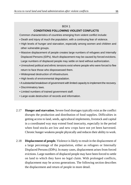#### $ROX<sub>1</sub>$

#### **CONDITIONS FOLLOWING VIOLENT CONFLICTS**

Common characteristics of countries emerging from violent conflict include:

- Death and injury of much the population, with a continuing fear of violence.
- High levels of hunger and starvation, especially among women and children and other vulnerable groups.
- Massive displacement of people creates large numbers of refugees and Internally Displaced Persons (IDPs). Much displacement may be caused by forced evictions. Large numbers of displaced people may settle on land without authorization.
- Unresolved political and ethnic tensions exist where people who were forced to flee return to face those who dispossessed them.
- Widespread destruction of infrastructure.
- High levels of environmental degradation.
- Asubstantial breakdown of government with limited capacity to implement the recovery.
- Discriminatory laws.
- Limited numbers of trained government staff.
- Large-scale destruction of records and information.
- **Hunger and starvation.** Severe food shortages typically exist as the conflict disrupts the production and distribution of food supplies. Difficulties in getting access to land, seeds, agricultural implements, livestock and capital in a coordinated way may extend food insecurity, especially in the period when food stocks are low and new crops have not yet been harvested. Chronic hunger weakens people physically and reduces their ability to work. 2.17
- **Displacement of people.** Violence is likely to result in the displacement of a large percentage of the population, either as refugees or Internally Displaced Persons (IDPs). In many cases, displacement arises from forced evictions. Large numbers of displaced people may have been forced to settle on land to which they have no legal claim. With prolonged conflicts, displacement may be across generations. The following section describes the displacement and return of people in more detail. 2.18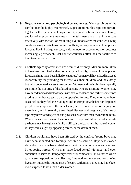- **Negative social and psychological consequences.** Many survivors of the conflict may be highly traumatised. Exposure to murder, rape and torture, together with experiences of displacement, separation from friends and family, and loss of employment may result in mental illness and an inability to cope effectively with the task of rebuilding livelihoods after the conflict. Living conditions may create tensions and conflicts, as large numbers of people are forced to live in inadequate space, and as temporary accommodation becomes increasingly permanent. Post-conflict countries often lack the facilities to treat traumatised victims. 2.19
- Conflicts typically affect men and women differently. Men are more likely to have been recruited, either voluntarily or forcibly, by one of the opposing forces, and may have been killed or captured. Women will have faced increased responsibility for providing for themselves, their children, and the elderly, but with decreased access to resources. Women and their children typically constitute the majority of displaced persons who are destitute. Women may have faced increased risk of rape, with sexual violence and torture sometimes used as a deliberate tactic by the opposing forces. They may have been assaulted as they fled their villages and in camps established for displaced people. Gang rapes and other attacks may have resulted in serious injury and even death, and in sexually transmitted diseases and pregnancy. Victims of rape may have faced rejection and physical abuse from their own communities. Where males were present, the allocation of responsibilities for tasks outside the home may have given a family a difficult choice: to risk the rape of women if they were caught by opposing forces, or the death of men. 2.20
- Children would also have been affected by the conflict. Young boys may have been abducted and forcibly recruited as soldiers. Boys who evaded abduction may have been mistakenly identified as combatants and attacked by opposing forces. Girls may have faced sexual violence, and even abduction to serve as "temporary wives" for combatants. In countries where girls were responsible for collecting firewood and water and for grazing livestock outside the boundaries of secure settlements, they may have been more exposed to risk than older women. 2.21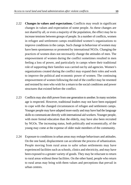- **Changes in values and expectations.** Conflicts may result in significant changes in values and expectation of some people. As these changes are not shared by all, or even a majority of the population, the effect may be to increase tensions between groups of people. In a number of conflicts, women in refugee and settlement camps established women's organizations to improve conditions in the camps. Such change in behaviour of women may have been spontaneous or promoted by international NGOs. Changing the practices of women does not necessarily change the attitudes of men. The empowerment of women during the conflict sometimes resulted in men feeling a loss of power, and particularly in camps where their traditional role of supporting their families was carried out by aid agencies. Women's organizations created during the conflict may expand their roles and work to improve the political and economic power of women. The continuing empowerment of women following the end of the conflict may be resented and resisted by men who wish for a return to the social conditions and power structures that existed before the conflict. 2.22
- Conflicts may also shift power from one generation to another. In many societies age is respected. However, traditional leaders may not have been equipped to cope with the changed circumstances of refugee and settlement camps. Younger people may have adapted more easily and may have had the language skills to communicate directly with international aid workers. Younger people, with more formal education than the elderly, may have also been recruited by NGOs. The increasing status, both politically and economically, of the young may come at the expense of older male members of the community. 2.23
- Exposure to conditions in urban areas may reshape behaviours and attitudes. On the one hand, displacement can accelerate the process of urbanization. People moving from rural areas to safer urban settlements may have experienced facilities such as schools, clinics and electricity, and may have been exposed to a greater variety of goods. They may be reluctant to return to rural areas without these facilities. On the other hand, people who return to rural areas may bring with them values and perceptions that prevail in urban centres. 2.24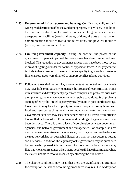- **Destruction of infrastructure and housing.** Conflicts typically result in widespread destruction of houses and other property of civilians. In addition, there is often destruction of infrastructure needed for governance, such as transportation facilities (roads, railways, bridges, airports and harbours), communication facilities (radio and television), and physical facilities (offices, courtrooms and archives). 2.25
- **Limited government capacity.** During the conflict, the power of the government to operate in parts of the country may have been limited and even blocked. The reduction of government services may have been most severe in areas of fighting or under the control of opposition forces. Alengthy conflict is likely to have resulted in the reduction in capacity to govern in all areas as financial resources were diverted to support conflict-related activities. 2.26
- Following the end of the conflict, governments at the central and local levels may have little or no capacity to manage the process of reconstruction. Major infrastructure and development projects are complex, and problems arise with their planning and management even under stable conditions. Such problems are magnified by the limited capacity typically found in post-conflict settings. Governments may lack the capacity to provide people returning home with food and services such as health care, education, water and sanitation. Government agencies may lack experienced staff at all levels, with officials having fled or been killed. Equipment and buildings of agencies may have been destroyed. There is often a lack of coordination between government agencies, and between government and aid agencies. For example, an area may be targeted to receive electricity or water, but it may be inaccessible because the road network has not been rehabilitated, or it may not have access to needed social services. In addition, the legitimacy of the government may be questioned by people who opposed it during the conflict. Local and national tensions may flare into violence in settings where many people still have firearms, and where the state is unable to resolve disputes by enforcing the rule of law. 2.27
- The chaotic conditions may mean that there are significant opportunities for corruption. A lack of accounting procedures may result in widespread 2.28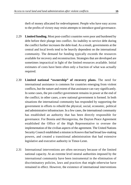theft of money allocated for redevelopment. People who have easy access to the profits of victory may resist attempts to introduce good governance.

- **Limited funding.** Most post-conflict countries were poor and burdened by 2.29 debt before their plunge into conflict. An inability to service debt during the conflict further increases the debt-load. As a result, governments at the central and local levels tend to be heavily dependent on the international community. The demand for funding typically exceeds the resources available for recovery and reconstruction. Strategies that are developed are sometimes impractical in light of the limited resources available. Initial estimates of costs have been often only a fraction of what was actually required.
- **Limited national "ownership" of recovery plans.** The need for international assistance is common for countries emerging from violent conflicts, but the nature and extent of that assistance can vary significantly. In some cases, the pre-conflict government remains in power at the end of the conflict; in other cases, a new national government is formed. In both situations the international community has responded by supporting the government in efforts to rebuild the physical, social, economic, political and administrative infrastructure. In a few cases, the international community has established an authority that has been directly responsible for governance. For Bosnia and Herzegovina, the Dayton Peace Agreement established the Office of the High Representative to oversee the implementation of the civilian aspects of the agreement. The United Nations Security Council established a mission in Kosovo that had broad law-making powers, and created a transitional administration that had extensive legislative and executive authority in Timor-Leste. 2.30
- International interventions are often necessary because of the limited national capacity. At an extreme level neutral authorities imposed by the international community have been instrumental in the elimination of discriminatory policies, laws and practices that might otherwise have remained in effect. However, the existence of international interventions 2.31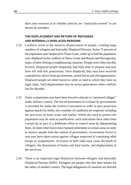does raise tensions as to whether policies are "nationally-owned" or are driven by outsiders.

#### **THE DISPLACEMENT AND RETURN OF REFUGEES AND INTERNALLY DISPLACED PERSONS**

- Conflicts result in the massive displacement of people, creating large numbers of refugees and Internally Displaced Persons. Some 75 percent of the population were displaced in Timor-Leste, while up to half the population were displaced in the conflicts of Sierra Leone and Bosnia and Herzegovina, many of them fleeing to neighbouring countries. People were often forcibly evicted. Displaced people frequently had little time to prepare and may have left with few possessions. Once displaced, they may have received contradictory advice from governments, armed forces and aid organizations. Displaced people are often forced to settle on land to which they have no legal claim. Such displacement may be across generations when conflicts last for decades. 2.32
- Entire communities may have been forced to relocate to "protected villages" under military control. The forced movement of civilians by governments is provided for under the Geneva Convention in order to give protection against attacks by rebels, but a number of conditions are required, including the provision of food, water and shelter. While the need to protect the population may be used as justification, such relocations have often been carried out as part of a deliberate effort to control areas by depopulating them. At times rebel forces have banned settlements in certain areas in order to remove people from the control of government. Government forces in turn may have taken action against villages suspected of containing rebel troops or sympathizers. Activities of both sides may cause the death of villagers, the destruction of homes and food stocks, and displacement of the survivors. 2.33
- There is an important legal distinction between refugees and Internally Displaced Persons (IDPs). Refugees are people who flee their homes for the safety of another country. The legal obligations of countries are defined 2.34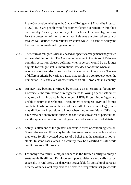in the Convention relating to the Status of Refugees (1951) and its Protocol (1967). IDPs are people who flee from violence but remain within their own country. As such, they are subject to the laws of that country, and may lack the protection of international law. Refugees are often taken care of through well-defined organizational structures while IDPs tend to be beyond the reach of international organizations.

- The return of refugees is usually based on specific arrangements negotiated at the end of the conflict. The Convention relating to the Status of Refugees contains cessation clauses defining when a person would be no longer eligible for refugee status. International law does not define when an IDP rejoins society and decisions may be made on an arbitrary basis. The use of different criteria by various parties may result in a controversy over the number of IDPs, and even whether there is an "IDP problem" in a country. 2.35
- An IDP may become a refugee by crossing an international boundary. Conversely, the termination of refugee status following a peace settlement may result in an increase in the number of IDPs if returning refugees are unable to return to their homes. The numbers of refugees, IDPs and former combatants who return at the end of the conflict may be very large, but it may difficult or impossible to know when they return. Many IDPs may have remained anonymous during the conflict due to a fear of persecution, and the spontaneous return of refugees may not show in official statistics. 2.36
- Safety is often one of the greatest concerns in areas of continuing tension. Some refugees and IDPs may be reluctant to return to the area from where they were forcibly evicted because of a belief that the situation is not yet stable. In some cases, areas in a country may be classified as safe while conditions are still insecure. 2.37
- For many who return, a major concern is the limited ability to enjoy a sustainable livelihood. Employment opportunities are typically scarce, especially in rural areas. Land may not be available for agricultural purposes because of mines, or it may have to be cleared of vegetation that grew while 2.38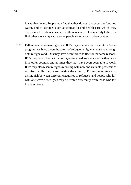it was abandoned. People may find that they do not have access to food and water, and to services such as education and health care which they experienced in urban areas or in settlement camps. The inability to farm or find other work may cause some people to migrate to urban centres.

Differences between refugees and IDPs may emerge upon their return. Some programmes have given the return of refugees a higher status even though both refugees and IDPs may have been forced to flee for the same reasons. IDPs may resent the fact that refugees received assistance while they were in another country, and at times they may have even been able to work. IDPs may also resent refugees returning with new and valuable possessions acquired while they were outside the country. Programmes may also distinguish between different categories of refugees, and people who left with one wave of refugees may be treated differently from those who left in a later wave. 2.39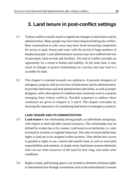## **3. Land tenure in post-conflict settings**

- Violent conflicts usually result in significant changes to land tenure and its administration. Many people may have been displaced during the conflict. Host communities in safer areas may have faced increasing competition for access to land, forests and water with the arrival of large numbers of displaced people. Land administration systems may have suffered the loss of personnel, land records and facilities. The end of conflict provides an opportunity for a return to homes and stability. At the same time, it may result in changes to power relationships in a society and may lead to a scramble for land. 3.1
- This chapter is oriented towards two audiences. It presents designers of emergency projects with an overview of land tenure and its administration. It provides land tenure and land administration specialists, as well as project designers, with a description of conditions that commonly exist in countries emerging from violent conflicts. Possible responses to address these conditions are given in chapters 4, 5 and 6. The chapter concludes by showing the importance of considering land tenure in emergency projects. 3.2

#### **LAND TENURE AND ITS ADMINISTRATION**

- **Land tenure** is the relationship among people, as individuals and groups, with respect to land and other natural resources. This relationship may be defined by written law or by custom. Land tenure is an institution, i.e. rules invented by societies to regulate behaviour. The rules of tenure define how rights to land are to be assigned within societies. They define how access is granted to rights to use, control and transfer land, as well as associated responsibilities and restraints. In simple terms, land tenure systems determine who can use what resources of the land for how long, and under what conditions. 3.3
- Rights to land, and housing upon it, are treated as elements of human rights in international law through conventions such as the International Covenant 3.4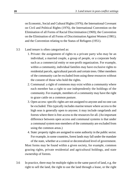on Economic, Social and Cultural Rights (1976); the International Covenant on Civil and Political Rights (1976), the International Convention on the Elimination of all Forms of Racial Discrimination (1969); the Convention on the Elimination of all Forms of Discrimination Against Women (1981); and the Convention relating to the Status of Refugees (1951).

#### 3.5 Land tenure is often categorised as:

- 1. Private: the assignment of rights to a private party who may be an individual, a married couple, a group of people, or a corporate body such as a commercial entity or non-profit organization. For example, within a community, individual families may have exclusive rights to residential parcels, agricultural parcels and certain trees. Other members of the community can be excluded from using these resources without the consent of those who hold the rights.
- 2. Communal: a right of commons may exist within a community where each member has a right to use independently the holdings of the community. For example, members of a community may have the right to graze cattle on a common pasture.
- 3. Open access: specific rights are not assigned to anyone and no-one can be excluded. This typically includes marine tenure where access to the high seas is generally open to anyone; it may include rangelands and forests where there is free access to the resources for all. (An important difference between open access and communal systems is that under a communal system non-members of the community are excluded from using the common areas.)
- 4. State: property rights are assigned to some authority in the public sector. For example, in some countries, forest lands may fall under the mandate of the state, whether at a central or decentralized level of government.

Most forms may be found within a given society, for example, common grazing rights, private residential and agricultural holdings, and state ownership of forests.

3.6 In practice, there may be multiple rights to the same parcel of land, e.g. the right to sell the land, the right to use the land through a lease, or the right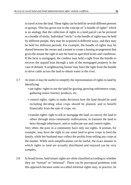to travel across the land. These rights can be held by several different persons or groups. This has given rise to the concept of "a bundle of rights" which is an analogy that the collection of rights to a land parcel can be pictured as a bundle of sticks. Individual "sticks" in the bundle of rights may be held by different people, they may be acquired in different ways, and they may be held for different periods. For example, the bundle of rights may be shared between the owner and a tenant to create a leasing arrangement that gives the tenant the right to use the land on specified terms and conditions. If the farm is mortgaged, the creditor may hold a right from the bundle to recover the unpaid loan through a sale of the mortgaged property in the case of default. A neighbouring farmer may have the right from the bundle to drive cattle across the land to obtain water at the river.

- At times it may be useful to simplify the representation of rights to land by identifying: 3.7
	- use rights: rights to use the land for grazing, growing subsistence crops, gathering minor forestry products, etc.
	- control rights: rights to make decisions how the land should be used including deciding what crops should be planted, and to benefit financially from the sale of crops, etc.
	- transfer rights: right to sell or mortgage the land, to convey the land to others through intra-community reallocations, to transmit the land to heirs through inheritance, and to reallocate use and control rights.

Very often, the poor in a community have only use rights. A woman, for example, may have the right to use some land to grow crops to feed the family, while her husband may collect the profits from selling any crops at the market. While such simplifications can be useful, the exact manner in which rights to land are actually distributed and enjoyed can be very complex.

In broad terms, land tenure rights are often classified according to whether they are "formal" or "informal". There can be perceptual problems with this approach because some so-called informal rights may, in practice, be 3.8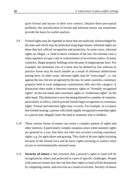quite formal and secure in their own context. Despite these perceptual problems, the classification of formal and informal tenure can sometimes provide the basis for useful analysis.

- Formal rights may be regarded as those that are explicitly acknowledged by the state and which may be protected using legal means. Informal rights are those that lack official recognition and protection. In some cases, informal rights are illegal, i.e. held in direct violation of the law. An extreme case is when squatters occupy a site in contravention of an eviction notice. In many countries, illegal property holdings arise because of inappropriate laws. For example, the minimum size of a farm may be defined by law whereas in practice farms may be much smaller as a result of informal subdivisions among heirs. In other cases, informal rights may be "extra-legal", i.e. not against the law, but not recognised by the law. In some countries, customary property held in rural indigenous communities falls into this category. A distinction often made is between statutory rights or "formally recognised rights" on the one hand, and customary rights or "traditional rights" on the other hand. This distinction is now becoming blurred in a number of countries, particularly in Africa, which provide formal legal recognition to customary rights. Formal and informal rights may co-exist. For example, in a country that forbids leasing, a person who holds legally recognized ownership rights to a parcel may illegally lease the land to someone who is landless. 3.9
- These various forms of tenure can create a complex pattern of rights and other interests. A particularly complex situation arises when statutory rights are granted in a way that does not take into account existing customary rights, e.g. for agriculture and grazing. This clash of de jure rights (existing because of the formal law) and de facto rights (existing in reality) often occurs in environmentally-stressed areas. 3.10
- **Security of tenure** is the certainty that a person's rights to land will be recognized by others and protected in cases of specific challenges. People with insecure tenure face the risk that their rights to land will be threatened by competing claims, and even lost as a result of eviction. Security of tenure 3.11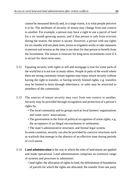cannot be measured directly and, to a large extent, it is what people perceive it to be. The attributes of security of tenure may change from one context to another. For example, a person may have a right to use a parcel of land for a six month growing season, and if that person is safe from eviction during the season, the tenure is secure. However, a person with use rights for six months will not plant trees, invest in irrigation works or take measures to prevent soil erosion as the time is too short for that person to benefit from the investment. The tenure is insecure for long-term investments even if it is secure for short-term ones.

- Equating security with rights to sell and mortgage is true for some parts of the world but it is not true in many others. People in parts of the world where there are strong customary tenure regimes may enjoy tenure security without having the right to transfer, or having strictly limited rights, e.g. transfers may be limited to heirs through inheritance, or sales may be restricted to members of the community. 3.12
- The sources of tenure security may vary from one context to another. Security may be provided through recognition and protection of a person's rights by: 3.13
	- The local community and its groups such as local farmers'organizations and water users' associations;
	- The government in the form of political recognition of some rights, e.g. the acceptance of an illegal encroachment or settlement;
	- The state's administrative structures and formal legal system.

In some countries, security can also be provided by coercive structures such as warlords that emerge in the absence of an effective state during periods of civil unrest.

- **Land administration** is the way in which the rules of land tenure are applied and made operational. Land administration comprises an extensive range of systems and processes to administer: 3.14
	- land rights: the allocation of rights in land; the delimitation of boundaries of parcels for which the rights are allocated; the transfer from one party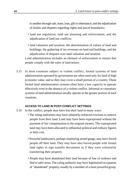to another through sale, lease, loan, gift or inheritance; and the adjudication of doubts and disputes regarding rights and parcel boundaries;

- land use regulation: land use planning and enforcement, and the adjudication of land use conflicts;
- land valuation and taxation: the determination of values of land and buildings; the gathering of tax revenues on land and buildings, and the adjudication of disputes over land valuation and taxation.

Land administration includes an element of enforcement to ensure that people comply with the rules of land tenure.

In most countries subject to violent conflict, formal systems of land administration operated by government are often used only for land of high economic value, and so they may cover a small portion of a country. These formal land administration systems often have a low capacity to operate effectively even in the absence of a violent conflict. Informal or customary systems of land administration usually operate in the greater portion of such countries. 3.15

#### **ACCESS TO LAND IN POST-CONFLICT SETTINGS**

- In the conflict, people may have lost their land in many ways: 3.16
	- The ruling authorities may have arbitrarily enforced evictions to remove people from their land. Land may have been expropriated without the payment of fair compensation to the original owners. The expropriated land may have been allocated to influential political and military figures at little cost.
	- Powerful landowners, perhaps employing armed gangs, may have forced people off their land. They may have also forced people with formal land rights to sign transfer documents as if they were voluntarily transferring their property.
	- People may have abandoned their land because of fear of violence and fled to safer areas. The ruling authority may have legitimized occupation of "abandoned" property, usually by a member of a more powerful group.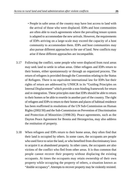- People in safer areas of the country may have lost access to land with the arrival of those who were displaced. IDPs and host communities are often able to reach agreements where the prevailing tenure system is adapted to accommodate the new arrivals. However, the requirements of IDPs arriving on a large-scale may exceed the capacity of a host community to accommodate them. IDPs and host communities may also pursue different approaches to the use of land. New conflicts may arise if these different approaches are incompatible.
- Following the conflict, some people who were displaced from rural areas may seek land to settle in urban areas. Other refugees and IDPs return to their homes, either spontaneously or through an organized process. The return of refugees is provided through the Convention relating to the Status of Refugees. There is no equivalent international law for IDPs but their rights of return are addressed by UNHCR in its "Guiding Principles on Internal Displacement" which provide a non-binding framework for return and re-integration. These principles state that IDPs should be able to return to their homes or be able to resettle in another part of the country. The right of refugees and IDPs to return to their homes and places of habitual residence has been reaffirmed in resolutions of the UN Sub-Commission on Human Rights (2002/30) and the Sub-Commission on Prevention of Discrimination and Protection of Minorities (1998/26). Peace agreements, such as the Dayton Peace Agreement for Bosnia and Herzegovina, may also address the restitution of property. 3.17
- When refugees and IDPs return to their home areas, they often find that their land is occupied by others. In some cases, the occupants are people who used force to seize the land, or who benefited from discriminatory laws to acquire it as abandoned property. In other cases, the occupants are also victims of the conflict who fled from other areas. It is thus common that people cannot recover their property without displacing the existing occupants. At times the occupants may retain ownership of their own property while occupying the property of others, a situation known as "double occupancy". Attempts to recover property may be violently resisted. 3.18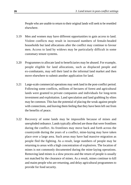People who are unable to return to their original lands will seek to be resettled elsewhere.

- Men and women may have different opportunities to gain access to land. Violent conflicts may result in increased numbers of female-headed households but land allocations after the conflict may continue to favour men. Access to land by widows may be particularly difficult in some customary tenure systems. 3.19
- Programmes to allocate land to beneficiaries may be abused. For example, people eligible for land allocations, such as displaced people and ex-combatants, may sell their land in the informal land market and then move elsewhere to submit another application for land. 3.20
- Large-scale commercial operations may seek land in the post-conflict period. Following some conflicts, millions of hectares of forest and agricultural lands were granted to private companies and individuals for long-term investment and exploitation. Land speculation and land grabbing by elites may be common. This has the potential of placing the weak against people with connections, and leaving them feeling that they have been left out from the benefits of peace. 3.21
- Recovery of some lands may be impossible because of mines and unexploded ordnance. Lands typically affected are those that were frontlines during the conflict. As frontlines may move back and forth across the countryside during the years of a conflict, mine-laying may have taken place over a large area. Such areas may have had massive migration as people fled the fighting. As a result, large numbers of people may be returning to areas with a high concentration of explosives. The location of mines is not commonly documented during the mine-laying operations. Removing land mines is a slow process and the return of people is usually not matched by the clearance of mines. As a result, mines continue to kill and maim people who are returning, and delay agricultural programmes to provide for food security. 3.22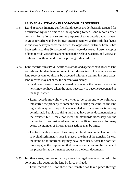#### **LAND ADMINISTRATION IN POST-CONFLICT SETTINGS**

- **Land records.** In many conflicts land records are deliberately targeted for destruction by one or more of the opposing forces. Land records often contain information that serves the purposes of some people but not others. Agroup forced to withdraw from an area may remove land records that favour it, and may destroy records that benefit the opposition. In Timor-Leste, it has been estimated that 80 percent of records were destroyed. Personal copies of land records were often abandoned in the rush to evacuate, and were also destroyed. Without land records, proving rights is difficult. 3.23
- Land records can survive. At times, staff of land agencies have rescued land 3.24 records and hidden them to prevent their destruction. However, surviving land records cannot always be accepted without scrutiny. In some cases, land records may not show the current ownership:
	- Land records may show a deceased person to be the owner because the heirs may not have taken the steps necessary to become recognized as the legal owner.
	- Land records may show the owner to be someone who voluntary transferred the property to someone else. During the conflict, the land registration system may not have operated and many transactions may be informal. People acquiring land may have some documentation of the transfer but it may not meet the standards necessary for the transaction to be considered legal. When conflicts have lasted for many years, the number of informal transactions may be large.
	- The true identity of a purchaser may not be shown on the land records to avoid discriminatory laws in place at the time of the transfer. Instead, the name of an intermediary may have been used. After the conflict, this may give the impression that the intermediaries are the owners of the properties as their names appear on the legal documents.
- In other cases, land records may show the legal owner of record to be someone who acquired the land by force or fraud: 3.25
	- Land records will not show that transfer has taken place through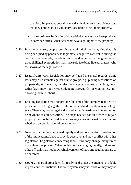coercion. People have been threatened with violence if they did not state that they entered into a voluntary transaction to sell their property.

- Land records may be falsified. Counterfeit documents have been produced to convince officials that occupants have legal rights to the property.
- In yet other cases, people returning to claim their land may find that it is being occupied by people who legitimately acquired ownership during the conflict. For example, beneficiaries of land acquired by the government through illegal expropriation may have sold it to bona fide purchasers, who are shown as the legal owners. 3.26
- **Legal framework.** Legislation may be flawed in several regards. Some laws may discriminate against ethnic groups, e.g. placing restrictions on property rights. Laws may be selectively applied against particular groups. Other laws may not provide adequate safeguards for women, e.g. not allowing them to inherit. 3.27
- Existing legislation may not provide for some of the complex realities of a post-conflict setting, e.g. the restitution of land and resettlement on a large scale. There may not be legal and procedural safeguards to ensure restitution or payment of compensation. The steps needed for an owner to regain property may not be defined. Numerous grey areas may exist in determining whether a person is a lawful owner or not. 3.28
- New legislation may be passed rapidly and without careful consideration of the implications. Laws to provide access to land may conflict with other legislation. Legislation concerning land tenure may change many times throughout the process. When legislation is changing rapidly, judges and other officials may not know which versions of laws and regulations are to be enforced. 3.29
- **Courts.** Impartial procedures for resolving disputes are often not available in post-conflict situations. The court systems may not exist, or they may be 3.30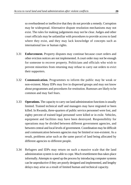so overburdened or ineffective that they do not provide a remedy. Corruption may be widespread. Alternative dispute resolution mechanisms may not exist. The rules for making judgements may not be clear. Judges and other court officials may be unfamiliar with procedures to provide access to land where they exist, and they may lack knowledge of concepts such as international law or human rights.

- **Enforcement.** Property disputes may continue because court orders and other eviction notices are not implemented. A court order may not be enough for someone to recover property. Politicians and officials who wish to prevent minorities from returning may refuse to carry out orders to evict their supporters. 3.31
- **Communication.** Programmes to inform the public may be weak or non-existent. Many IDPs may live in dispersed groups and may not know about programmes and procedures for restitution. Rumours are likely to be common and may fuel fears. 3.32
- **Operations.** The capacity to carry out land administration functions is usually limited. Trained technical staff and managers may have migrated or been killed. In Rwanda, three-quarters of public service personnel were lost, and eighty percent of trained legal personnel were killed or in exile. Vehicles, equipment and facilities may have been destroyed. Responsibility for operations may be divided between different government agencies, and between central and local levels of government. Coordination may be difficult and communication between agencies may be limited or non-existent. As a result, problems arise such as the same parcel of land being allocated by different agencies to different people. 3.33
- Refugees and IDPs may return on such a massive scale that the land administration system is not able to cope. Much resettlement thus takes place informally. Attempts to speed up the process by introducing computer systems can be unproductive if they are poorly designed and implemented, and lengthy delays may arise as a result of limited human and technical capacity. 3.34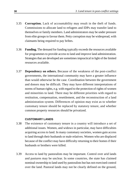- **Corruption.** Lack of accountability may result in the theft of funds. Commissions to allocate land to refugees and IDPs may transfer land to themselves or family members. Land administrators may be under pressure from elite groups to favour them. Petty corruption may be widespread, with claimants being required to pay bribes. 3.35
- **Funding.** The demand for funding typically exceeds the resources available for programmes to provide access to land and improve land administration. Strategies that are developed are sometimes impractical in light of the limited resources available. 3.36
- **Dependency on others.** Because of the weakness of the post-conflict governments, the international community may have a greater influence than would otherwise be the case. Coordination between the government and donors may be difficult. They may have different interpretations of norms of human rights, e.g. with regard to the protection of rights of women and minorities to land. There may be different priorities with regard to restitution, compensation, resettlement, and the reconstruction of a land administration system. Differences of opinion may exist as to whether customary tenure should be replaced by statutory tenure, and whether common property resources should be privatized. 3.37

## **CUSTOMARY LANDS**

- The existence of customary tenure in a country will introduce a set of additional issues. Women, and widows in particular, may have difficulties acquiring access to land. In many customary societies, women gain access to land through their husbands or male relatives. Women who are displaced because of the conflict may have difficulty returning to their homes if their husbands or brothers were killed. 3.38
- Access to land by pastoralists may be important. Control over arid lands and pastures may be unclear. In some countries, the state has claimed nominal ownership to land used by pastoralists but has not exercised control over the land. Pastoral lands may not be clearly defined on the ground, 3.39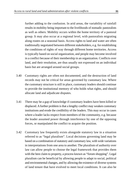further adding to the confusion. In arid areas, the variability of rainfall results in mobility being important to the livelihoods of nomadic pastoralists as well as others. Mobility occurs within the home territory of a pastoral group. It may also occur at a regional level, with pastoralists migrating along routes on a seasonal basis. Access rights to land and water are often traditionally negotiated between different stakeholders, e.g. for establishing the conditions of rights of way through different home territories. Access is typically based on social organization, and people may become involved in a conflict because of their membership in an organization. Conflicts over land, and their resolution, are thus usually not expressed on an individual basis but are arranged around social groups.

- Customary rights are often not documented, and the destruction of land records may not be critical for areas governed by customary law. Where the customary structure is still in place, customary leaders should continue to provide the institutional memory of who holds what rights, and should allocate land and adjudicate disputes. 3.40
- There may be a gap of knowledge if customary leaders have been killed or displaced. A further problem is that a lengthy conflict may weaken customary institutions and erode the credibility of the leaders. This may occur in cases where a leader lacks respect from members of the community, e.g. because the leader assumed power through interference by one of the opposing forces, or manipulated the conflict to acquire the position. 3.41
- Customary law frequently exists alongside statutory law in a situation referred to as "legal pluralism". Local decisions governing land may be based on a combination of statutory and customary law, with wide variations in interpretations from one area to another. The pluralism of authority over law can allow people to choose the legal framework that provides them with the best claim to property, a process known as "forum shopping". Legal pluralism can be beneficial by allowing people to adapt to social, political and environmental changes, and by allowing the existence of diverse systems of land tenure that have evolved to meet local conditions. It can also be 3.42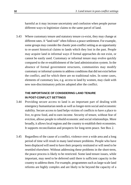harmful as it may increase uncertainty and confusion when people pursue different ways to legitimize claims to the same parcel of land.

Where customary tenure and statutory tenure co-exist, they may change at different rates. A "land rush" often follows a peace settlement. For example, some groups may consider the chaotic post-conflict setting as an opportunity to re-assert historical claims to lands which they lost in the past. People may acquire land in informal ways if formal approaches do not exist, or cannot be easily used. Customary or informal tenure may evolve quickly compared to the re-establishment of the land administration system. In the absence of formal government structures, communities may modify customary or informal systems to address conditions that did not exist before the conflict, and for which there are no traditional rules. In some cases, elements of customary law, e.g. access to land by women, may clash with new non-discriminatory policies adopted after the conflict. 3.43

## **THE IMPORTANCE OF CONSIDERING LAND TENURE IN POST-CONFLICT SETTINGS**

- Providing secure access to land is an important part of dealing with emergency humanitarian needs as well as longer-term social and economic stability. Secure access to land helps victims of conflicts to have a place to live, to grow food, and to earn income. Security of tenure, without fear of eviction, allows people to rebuild economic and social relationships. More broadly, it allows local regions and the country to establish their economies. It supports reconciliation and prospects for long-term peace. See Box 2. 3.44
- Regardless of the cause of a conflict, violence over a wide area and a long period of time will result in many land tenure problems. People who have been displaced will need to have their property restituted or will need to be resettled elsewhere. Without addressing these problems in the short-term, the peace process is likely to be restricted. Some land tenure issues, while important, may need to be deferred until there is sufficient capacity in the country to address them. For example, programmes such as large-scale land reforms are highly complex and are likely to be beyond the capacity of a 3.45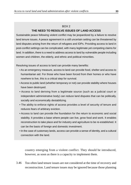## $ROX 2$ **THE NEED TO RESOLVE ISSUES OF LAND ACCESS**

Sustainable peace following violent conflict may be jeopardized by a failure to resolve land tenure issues. A peace agreement in a still uncertain setting can be threatened by land disputes arising from the return of refugees and IDPs. Providing access to land in post-conflict settings can be complicated, with many legitimate yet competing claims for land. In addition, there is a need to address access to land by vulnerable people including women and children, the elderly, and ethnic and political minorities.

Resolving issues of access to land can provide many benefits:

- As an emergency measure, access to land can provide food, shelter and access to humanitarian aid. For those who have been forced from their homes or who have nowhere to live, this is a critical step for survival.
- Access to public land (whether temporary or not) can provide stability where houses have been destroyed.
- Access to land deriving from a legitimate source (such as a judicial court or independent administrative body) can reduce land disputes that can be politically, socially and economically destabilizing.
- The ability to enforce rights of access provides a level of security of tenure and reduces fears of arbitrary eviction.
- Access to land can provide the foundation for the return to economic and social stability. It provides a base where people can live, grow food and work. It enables reconstruction to take place and for industry and agriculture to be re-established. It can be the basis of foreign and domestic investment.
- In the case of customary lands, access can provide a sense of identity, and a cultural connection with the land.

country emerging from a violent conflict. They should be introduced, however, as soon as there is a capacity to implement them.

Too often land tenure issues are not considered at the time of recovery and reconstruction. Land tenure issues may be ignored because those planning 3.46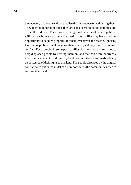the recovery of a country do not realise the importance of addressing them. They may be ignored because they are considered to be too complex and difficult to address. They may also be ignored because of lack of political will; those who were actively involved in the conflict may have used the opportunity to acquire property of others. Whatever the reason, ignoring land tenure problems will not make them vanish, and may result in renewed conflict. For example, in some post-conflict situations aid workers tried to help displaced people by settling them on land that had been incorrectly identified as vacant. In doing so, local communities were inadvertently dispossessed of their rights to that land. The people displaced by the original conflict were put in the midst of a new conflict as the communities tried to recover their land.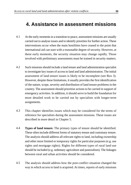# **4. Assistance in assessment missions**

- At the early moments in a transition to peace, assessment missions are usually carried out to analyse issues and to identify priorities for further action. These interventions occur when the main hostilities have ceased to the point that international aid can start with a reasonable degree of security. However, at these early moments, the security situation may change rapidly. Those involved with preliminary assessments must be trained in security matters. 4.1
- Such missions should include a land tenure and land administration specialist to investigate key issues of access to land and land administration. The initial assessment of land tenure issues is likely to be incomplete (see Box 3). However, despite these limitations, it usually provides the first identification of the nature, scope, severity and distribution of land tenure problems in the country. The assessment should prioritise actions to be carried in support of emergency activities. In addition, it should serve to build the foundation for more detailed work to be carried out by specialists with longer-term assignments. 4.2
- This chapter identifies issues which may be considered for the terms of reference for specialists during the assessment missions. These issues are described in more detail in Chapter 5. 4.3
- **Types of land tenure.** The primary types of tenure should be identified. These often include different forms of statutory tenure and customary tenure. The analysis should address all relevant rights to land, including ownership and other more limited or temporary rights for particular purposes (e.g. use rights and mortgage rights). Rights for different types of rural land use should be included (e.g. sedentary agriculture and pastoralism). The linkages between rural and urban activities should be considered. 4.4
- The analysis should address how the post-conflict situation changed the way in which access to land is acquired. At times, reports of early missions 4.5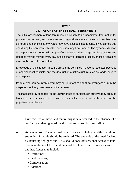# BOX 3

## **LIMITATIONS OF THE INITIAL ASSESSMENTS**

The initial assessment of land tenure issues is likely to be incomplete. Information for planning the recovery and reconstruction is typically not available in countries that have suffered long conflicts. Many years may have passed since a census was carried out, and during the conflict much of the population may have moved. The dynamic situation of the post-conflict period will hamper efforts to collect data. Large numbers of IDPs and refugees may be moving every day outside of any organized process, and their locations may not be noted for some time.

Knowledge of the situation in some areas may be limited if travel is restricted because of ongoing local conflicts, and the destruction of infrastructure such as roads, bridges and airports.

People who can be interviewed may be reluctant to speak to strangers or may be suspicious of the government and its partners.

The inaccessibility of people, or the unwillingness to participate in surveys, may produce biases in the assessments. This will be especially the case when the needs of the population are diverse.

have focused on how land tenure might have worked in the absence of a conflict, and they ignored the disruptions caused by the conflict.

- **Access to land.** The relationship between access to land and the livelihood strategies of people should be analysed. The analysis of the need for land by returning refugees and IDPs should consider seasonal access to land. The availability of food, and the need for it, will vary from one season to another. Issues may include: 4.6
	- Restitution;
	- Land disputes;
	- Compensation;
	- Eviction;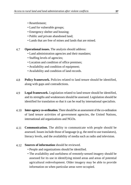- Resettlement;
- Land for vulnerable groups;
- Emergency shelter and housing;
- Public and private abandoned land;
- Lands that are free of mines and lands that are mined.
- **Operational issues.** The analysis should address: 4.7
	- Land administration agencies and their mandates;
	- Staffing levels of agencies;
	- Location and condition of office premises;
	- Availability and condition of equipment;
	- Availability and condition of land records.
- **Policy framework.** Policies related to land tenure should be identified, along with gaps and contradictions. 4.8
- **Legal framework.** Legislation related to land tenure should be identified, and its strengths and weaknesses should be assessed. Legislation should be identified for translation so that it can be read by international specialists. 4.9
- **Inter-agency co-ordination.** There should be an assessment of the co-ordination of land tenure activities of government agencies, the United Nations, international aid organizations and NGOs. 4.10
- **Communication.** The ability to communicate with people should be assessed. Issues include those of language (e.g. the need to use translators), literacy levels, and the availability of media such as radio and television. 4.11
- **Sources of information** should be reviewed. 4.12
	- People and organizations should be identified.
	- The availability and usefulness of remotely-sensed imagery should be assessed for its use in identifying mined areas and areas of potential agricultural redevelopment. Older imagery may be able to provide information on when particular areas were occupied.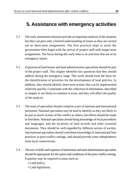# **5. Assistance with emergency activities**

- The early assessment missions provide an important analysis of the situation but they can give only a limited understanding of issues as they are carried out as short-term assignments. The first practical steps to assist the government often begin with the arrival of project staff with longer-term assignments. The focus during this early time is on activities that are of an emergency nature. 5.1
- Experienced land tenure and land administration specialists should be part of the project staff. This chapter identifies key questions that they should address during the emergency stage. This work should form the basis for the identification of priorities for the development of land policies. In addition, they should identify short-term actions that can be implemented relatively quickly. Constraints with the collection of information, described in chapter 4, are likely to continue to exist, and they will affect the quality of the analysis. 5.2
- The team of specialists should comprise a mix of national and international personnel. National specialists may be hard to identify as they are likely to be just as much victims of the conflict as others, but efforts should be made to find them. National specialists should bring knowledge of local procedures and languages, and the locations of land records and other essential documents. They should be well-regarded by different sectors of society. International specialists should contribute knowledge of international best practices in post-conflict settings, and should provide some independence from local controversies. 5.3
- The mix of skills and expertise of land tenure and land administration specialists should be appropriate for the nature and conditions of the post-conflict setting. Expertise may be required in areas such as: 5.4
	- Land policy;
	- Land legislation;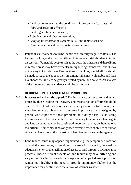- Land tenure relevant to the conditions of the country (e.g. pastoralism if dryland areas are affected);
- Land registration and cadastre;
- Adjudication and dispute resolution;
- Geographic information systems (GIS) and remote sensing;
- Communication and dissemination programmes.
- Potential stakeholders should be identified at an early stage. See Box 4. The list may be long and it may be difficult to involve all stakeholders in initial discussions. Vulnerable people such as the poor, the illiterate and those living in remote areas may have difficulty in organizing themselves, and it may not be easy to include them. Despite these difficulties, special efforts should be made to reach the poor as they are amongst the most vulnerable and their livelihoods are likely to be greatly affected by new land policies. An analysis of the interests of stakeholders should be carried out. 5.5

### **RECOGNITION OF LAND TENURE PROBLEMS**

- **Is access to land on the agenda?** The importance assigned to land tenure issues by those leading the recovery and reconstruction efforts should be assessed. People who set priorities for recovery and reconstruction may not view land tenure problems with the same importance that is assigned by people who experience these problems on a daily basis. Establishing institutions with the legal authority and capacity to adjudicate land rights and land disputes may not be considered important, or may be thought to be too difficult. Sometimes it has only been extreme cases of abuses of human rights that have forced the inclusion of land tenure issues on the agenda. 5.6
- Land tenure issues may appear fragmented, e.g. the temporary allocation of land, the need for agricultural land to ensure food security, the need for adequate shelter, or the facilitation of access to land through a lawful claims process. These different aspects of land tenure may have differing and varying political importance during the post-conflict period. An approaching winter may highlight the need to provide emergency shelter but the importance may decline with the arrival of warmer weather. 5.7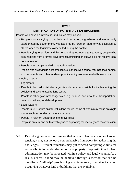#### $ROX_4$

## **IDENTIFICATION OF POTENTIAL STAKEHOLDERS**

People who have an interest in land issues may include:

- People who are trying to get their land restituted, e.g. where land was unfairly expropriated by government, was acquired by force or fraud, or was occupied by others when the legitimate owners fled during the conflict.
- People trying to get formal rights to land they occupy, e.g. squatters, people who acquired land from a former government administration but who did not receive legal documentation.
- People who occupy land without authorization.
- People who are trying to get some land, e.g. those who cannot return to their homes, ex-combatants and other landless poor including women-headed households.
- Policy-makers.
- Legislators.
- People in land administration agencies who are responsible for implementing the policies and laws related to land tenure.
- People in other government agencies, e.g. finance, social welfare, transportation, communications, rural development.
- Local leaders.
- People in NGOs with an interest in land tenure, some of whom may focus on single issues such as gender or the environment.
- People in relevant departments of universities.
- People in bilateral and multilateral agencies supporting the recovery and reconstruction.
- Even if a government recognises that access to land is a source of social tension, it may not lay out a comprehensive framework for addressing the challenges. Different ministries may put forward competing claims for responsibility for land and other forms of property. Responsibilities for land administration may be allocated within a policy and legal vacuum. As a result, access to land may be achieved through a method that can be described as "self help": people doing what is necessary to survive, including occupying whatever land or buildings that are available. 5.8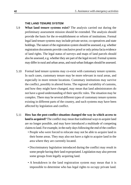#### **THE LAND TENURE SYSTEM**

- **What land tenure systems exist?** The analysis carried out during the preliminary assessment mission should be extended. The analysis should provide the basis for the re-establishment or reform of institutions. Formal legal land tenure systems may include private sector, co-operatives and state holdings. The nature of the registration system should be assessed, e.g. whether registration documents provide conclusive proof or only prima facia evidence of land rights. The legal status of surveys and maps of land parcels should also be assessed, e.g. whether they are part of the legal record. Formal systems may differ in rural and urban areas, and rural-urban linkages should be assessed. 5.9
- Formal land tenure systems may co-exist with customary tenure systems. In such cases, customary tenure may be more relevant in rural areas, and especially in more remote locations. Customary institutions may survive the conflict, possibly in altered forms. The regional variability of customs, and how they might have changed, may mean that land administrators do not have a good understanding of their specific rules. The situation may be complex. There may be several different types of customary tenure systems existing in different parts of the country, and such systems may have been affected by legislation and conflict. 5.10
- **How has the post-conflict situation changed the way in which access to land is acquired?**The conflict may mean that traditional ways to acquire land are no longer possible, and may have introduced a multitude of competing claims to land. For example, in the early days following the end of the conflict: 5.11
	- People who were forced to relocate may not be able to acquire land in their home areas. They may also not have a right to acquire land in the area where they are currently located.
	- Discriminatory legislation introduced during the conflict may result in some people having their land expropriated. Legislation may also prevent some groups from legally acquiring land.
	- A breakdown in the land registration system may mean that it is impossible to determine who has legal rights to occupy private land.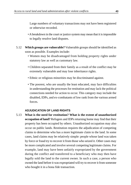Large numbers of voluntary transactions may not have been registered or otherwise recorded.

- A breakdown in the court or justice system may mean that it is impossible to legally resolve land disputes.
- **Which groups are vulnerable?** Vulnerable groups should be identified as 5.12 soon as possible. Examples include:
	- Women may be disadvantaged from holding property rights under statutory law as well as customary law.
	- Children separated from their family as a result of the conflict may be extremely vulnerable and may lose inheritance rights.
	- Ethnic or religious minorities may be discriminated against.
	- The poorest, who are usually the least educated, may face difficulties in understanding the processes for restitution and may lack the political connections needed for action to occur. This category may include the disabled, IDPs, and ex-combatants of low rank from the various armed forces.

### **ADJUDICATION OF LAND RIGHTS**

**What is the need for restitution? What is the extent of unauthorized occupation of land?** Refugees and IDPs returning home may find that their property has been occupied by others. Unauthorized occupation may also occur on public lands. Restitution requires the adjudication of competing claims to determine who has a more legitimate claim to the land. In some cases, land claims may be relatively simple: people whose land was taken by force or fraud try to recover it from those who seized it. Other cases may be more complicated and involve several competing legitimate claims. For example, land may have been unfairly expropriated by the government during the conflict and transferred to a beneficiary who may then have legally sold the land to the current owner. In such a case, a person who owned the land before it was expropriated will try to recover it from someone who bought it in a bona fide transaction. 5.13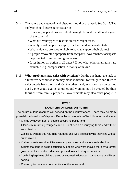- The nature and extent of land disputes should be analysed. See Box 5. The analysis should assess factors such as: 5.14
	- How many applications for restitution might be made in different regions of the country?
	- What different types of restitution cases might exist?
	- What types of people may apply for their land to be restituted?
	- What evidence are people likely to have to support their claims?
	- If people recover their property from occupants, how can those occupants be protected from becoming homeless?
	- Is restitution an option in all cases? If not, what other alternatives are available, e.g. compensation in money or in kind.
- **What problems may exist with evictions?** On the one hand, the lack of alternative accommodation may make it difficult for refugees and IDPs to evict people from their land. On the other hand, evictions may be carried out by one group against another, and women may be evicted by their families from family property. Governments may also evict people in 5.15

### $ROX 5$

## **EXAMPLES OF LAND DISPUTES**

The nature of land disputes will depend on the circumstances. There may be many potential combinations of disputes. Examples of categories of land disputes may include:

- Claims by government of people occupying public land.
- Claims by returning refugees and IDPs of people occupying their land without authorization.
- Claims by owners that returning refugees and IDPs are occupying their land without authorization.
- Claims by refugees that IDPs are occupying their land without authorization.
- Claims that land is being occupied by people who were moved there by a former government, i.e. under orders as opposed to a voluntary occupation.
- Conflicting legitimate claims created by successive long-term occupations by different parties.
- Claims by two or more communities for the same land.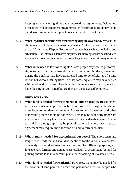keeping with legal obligations under international agreements. Delays and difficulties with disarmament programmes for firearms may result in volatile and dangerous situations if people resist attempts to evict them.

- **What legal mechanisms exist for resolving disputes over land?**What is the ability of courts to hear cases in a timely manner? Is there a precedence for the use of "Alternative Dispute Resolution" approaches such as mediation and arbitration? Can informal alternative dispute resolution approaches be introduced in a way that does not undermine the formal legal system or a customary system? 5.16
- **What is the need to formalize rights?** Some people may want to get formal rights to land that they currently occupy. For example, the government during the conflict may have transferred land to beneficiaries of a land reform but without issuing titles. In other cases, squatters may have settled without objection on land. People with little tenure security may wish to have their rights confirmed before they are dispossessed by others. 5.17

## **NEED FOR LAND**

- **What land is needed for resettlement of landless people?** Resettlement is necessary when people are unable to return to their original lands and must be accommodated elsewhere. Access to land by women and other vulnerable groups should be addressed. This may be especially important in areas of customary tenure where women may be disadvantaged. Access to land for some groups may be prescribed, e.g. in some cases a peace agreement may require the allocation of land to former soldiers. 5.18
- **What land is needed for agricultural purposes?** The short-term and longer-term needs for land should be identified for the various stakeholders. The analysis should address the need for land for different purposes, e.g. for sedentary farmers and nomadic pastoralists. An assessment for land for grazing should take into account plans for restocking of livestock herds. 5.19
- **What land is needed for residential purposes?** Land may be needed for the creation of land parcels in urban and peri-urban areas for people who 5.20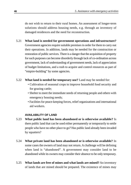do not wish to return to their rural homes. An assessment of longer-term solutions should address housing needs, e.g. through an inventory of damaged residences and the need for reconstruction.

- **What land is needed for government operations and infrastructure?** Government agencies require suitable premises in order for them to carry out their operations. In addition, lands may be needed for the construction or restoration of public services. There is a danger that the acquisition of property for such purposes can become disorderly through lack of co-ordination across government, lack of understanding of government needs, lack of appreciation of budget limitations, and a rush to acquire and control resources as part of "empire-building" by some agencies. 5.21
- **What land is needed for temporary use?** Land may be needed for: 5.22
	- Cultivation of seasonal crops to improve household food security and for grazing cattle;
	- Shelter to meet the immediate needs of returning people and others with emergency housing needs;
	- Facilities for peace-keeping forces, relief organizations and international aid workers.

## **AVAILABILITY OF LAND**

- **What public land has been abandoned or is otherwise available?** Is there public land that can be used either permanently or temporarily to settle people who have no other place to go? Has public land already been invaded by squatters? 5.23
- **What private land has been abandoned or is otherwise available?** In some cases the owners of land may not return. A challenge will be defining when land is "abandoned". A government may consider land to be abandoned while its owners may consider their absence to be only temporary. 5.24
- **What lands are free of mines and what lands are mined?** An inventory of lands that are mined should be prepared. The existence of mines may 5.25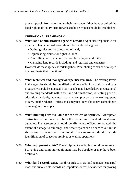prevent people from returning to their land even if they have acquired the legal right to do so. Priority for areas to be de-mined should be established.

## **OPERATIONAL FRAMEWORK**

- **What land administration agencies remain?** Agencies responsible for aspects of land administration should be identified, e.g. for: 5.26
	- Defining rules for the allocation of land;
	- Adjudicating claims for rights to land;
	- Controlling land that could be used by refugees and IDPs;
	- Managing land records including land registers and cadastres.

How well do these agencies work together? What strategies can be developed to co-ordinate their functions?

- **What technical and managerial expertise remains?** The staffing levels in the agencies should be identified, and the availability of skills and gaps in capacity should be assessed. Many people may have fled. Poor educational and training standards within the land administration, reflecting general education standards, may mean that many employees are not well equipped to carry out their duties. Professionals may not know about new technologies or managerial concepts. 5.27
- **What buildings are available for the offices of agencies?** Widespread destruction of buildings will limit the operations of land administration agencies. The assessment should identify where offices are located, the extent of damage to buildings, and what repairs can be carried out in the short-term to make them functional. The assessment should include identification of space for archives as well as operations. 5.28
- **What equipment exists?** The equipment available should be assessed. Surveying and computer equipment may be obsolete or may have been destroyed. 5.29
- **What land records exist?** Land records such as land registers, cadastral maps and survey field records are important sources of evidence for proving 5.30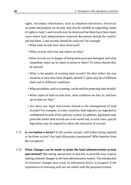rights. Secondary information, such as telephone directories, electricity accounts and property tax records, may also be valuable in supporting claims of rights to land. Land records may be destroyed but there have been many cases where land administrators removed documents during the conflict and hid them. Land records should be analyzed, for example:

- What land records have been destroyed?
- What records still exist and where are they?
- What records are in danger of being destroyed and damaged, and what immediate steps can be taken to preserve them? To where should they be moved?
- What is the quality of existing land records? Do they reflect the true situation or have they been illegally altered? Copies may be of different dates and in different conditions.
- What procedures, such as scanning, can be used for protecting land records?
- What copies of land records exist, what condition are they in, and how up-to-date are they?
- Are there any legal restrictions related to the management of land records? For example, in some countries, land registers are regarded as confidential records of the judiciary system. In addition, legislation may prescribe where land records are to be stored and, in such cases, special legislation may be required to allow the relocation of records.
- **Is corruption a factor?** Is the system corrupt, with bribes being required to facilitate action? Are land allocations transparent? Who benefits from the corruption? 5.31
- **What changes can be made to make the land administration system operational?** Becoming operational as quickly as possible may require making minimal changes to the land administration system. The introduction of extensive changes may result in substantial delays in progress if the experiences of returning staff are not useful with the proposed system. 5.32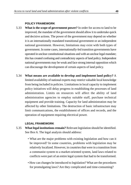#### **POLICY FRAMEWORK**

- **What is the scope of government power?** In order for access to land to be improved, the mandate of the government should allow it to undertake quick and decisive actions. The power of the government may depend on whether it is an internationally mandated transitional government or an independent national government. However, limitations may exist with both types of government. In some cases, internationally-led transition governments have operated in unclear constitutional situations and with an unclear legal mandate; this has created confusing and contradictory aspects of land policy. Independent national governments may be weak and face strong internal opposition which can discourage the development of certain aspects of land policy. 5.33
- **What means are available to develop and implement land policy?** A limited availability of national experts may restrict valuable local knowledge from being included in policies. Limitations in local capacity to implement policy initiatives will delay progress in establishing the processes of land administration. Limits on resources will affect the ability of land administration agencies to employ suitable staff, purchase technical equipment and provide training. Capacity for land administration may be affected by other limitations. The destruction of basic infrastructure may limit communications, the establishment of offices and records, and the operation of equipment requiring electrical power. 5.34

## **LEGAL FRAMEWORK**

- **What legal institutions remain?** Relevant legislation should be identified. See Box 6. The legal analysis should address: 5.35
	- What are the major problems with existing legislation and how can it be improved? In some countries, problems with legislation may be relatively localized. However, in countries that were in a transition from a communist system to a market-oriented system, land laws related to conflicts were part of an entire legal system that had to be transformed.
	- How can changes be introduced to legislation? What are the procedures for promulgating laws? Are they complicated and time-consuming?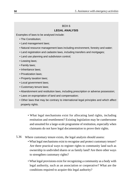## BOX 6 **LEGAL ANALYSIS**

Examples of laws to be analysed include:

- The Constitution;
- Land management laws;
- Natural resource management laws including environment, forestry and water;
- Land registration and cadastre laws, including transfers and mortgages;
- Land use planning and subdivision control;
- Leasing laws;
- Family laws;
- Inheritance laws:
- Privatization laws;
- Property taxation laws;
- Local government laws;
- Customary tenure laws;
- Abandonment and restitution laws, including prescription or adverse possession;
- Laws on expropriation of land and compensation;
- Other laws that may be contrary to international legal principles and which affect property rights.
	- What legal mechanisms exist for allocating land rights, including restitution and resettlement? Existing legislation may be cumbersome and unsuited for a large-scale programme of restitution, especially when claimants do not have legal documentation to prove their rights.
- Where customary tenure exists, the legal analysis should assess: 5.36
	- What legal mechanisms exist to recognise and protect customary tenure? Are there practical ways to register rights to community land such as ownership in undivided shares or as family land? Are there other ways to strengthen customary rights?
	- What legal provisions exist for recognizing a community as a body with legal authority, such as an association or cooperative? What are the conditions required to acquire this legal authority?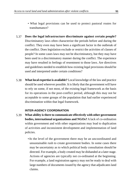- What legal provisions can be used to protect pastoral routes for transhumance?
- **Does the legal infrastructure discriminate against certain people?** Discriminatory laws often characterize the periods before and during the conflict. They even may have been a significant factor in the outbreak of the conflict. Does legislation exclude or restrict the activities of classes of people? In some cases laws may not be discriminatory, but they may have been used in a discriminatory manner during the conflict. The experience may have resulted in feelings of resentment to those laws. Are directives and guidelines needed to establish how existing legal provisions should be used and interpreted under certain conditions? 5.37
- **What local expertise is available?** Local knowledge of the law and practice should be used wherever possible. It is likely that the government will have to rely on some, if not most, of the existing legal framework as the basis for its operations in the post-conflict period, although this may not be acceptable to some groups of the population that had earlier experienced discrimination within that legal framework. 5.38

## **INTER-AGENCY COORDINATION**

- **What ability is there to communicate effectively with other government bodies, international organizations and NGOs?** A lack of co-ordination within government and with other organizations may lead to duplication of activities and inconsistent development and implementation of land policies. 5.39
	- •At the level of the government there may be an uncoordinated and unsustainable rush to create government bodies. In some cases there may be uncertainty as to which political body consultation should be directed. For example, a body created may be disbanded at a later stage. Actions of agencies are typically not co-ordinated at the beginning. For example, a land registration agency may not be ready to deal with large numbers of documents issued by the agency that adjudicates land claims.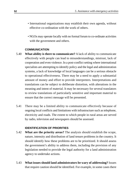- International organizations may establish their own agenda, without effective co-ordination with the work of others.
- NGOs may operate locally with no formal forum to co-ordinate activities with the government and others.

### **COMMUNICATION**

- **What ability is there to communicate?** A lack of ability to communicate effectively with people can lead to misunderstandings, mistrust, lack of cooperation and even violence. In a post-conflict setting where international specialists are attempting to identify policy and the legal and administration systems, a lack of knowledge of local languages can be a serious obstacle to operational effectiveness. There may be a need to apply a substantial amount of money and effort to provide interpreters. Interpretations and translations can be subject to deliberate distortion, with alterations in the meaning and intent of material. It may be necessary for several translators to review translations of particularly sensitive and important material to ensure that the correct message will be presented. 5.40
- There may be a limited ability to communicate effectively because of ongoing local conflicts and limitations with infrastructure such as telephone, electricity and roads. The extent to which people in rural areas are served by radio, television and newspapers should be assessed. 5.41

## **IDENTIFICATION OF PRIORITIES**

- **What are the priority areas?** The analysis should establish the scope, nature, intensity and distribution of land tenure problems in the country. It should identify how these problems are to be prioritized. It should assess the government's ability to address them, including the provision of any legislation needed to provide the legal authority for a land administration agency to undertake actions. 5.42
- **What issues should land administrators be wary of addressing?** Issues that require caution should be identified. For example, in some cases there 5.43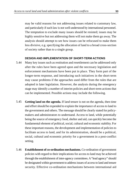may be valid reasons for not addressing issues related to customary law, and particularly if such law is not well understood by international personnel. The temptation to exclude many issues should be resisted; issues may be highly sensitive but not addressing them will not make them go away. The analysis should attempt to see how issues can be refocused to make them less divisive, e.g. specifying the allocation of land to a broad cross-section of society rather than to a single group.

#### **DESIGN AND IMPLEMENTATION OF SHORT-TERM ACTIONS**

- Many key issues such as restitution and resettlement can be addressed only after the rules have been agreed upon and the necessary legislation and enforcement mechanisms have been put in place. They form part of the longer-term response, and introducing such initiatives in the short-term may cause problems if the approaches used differ from the rules that are adopted in later legislation. However, the analysis during the emergency stage may identify a number of interim policies and short-term actions that can be implemented. Possible actions may include the following. 5.44
- **Getting land on the agenda.** If land tenure is not on the agenda, then time and effort should be expended to explain the importance of access to land to the government and others. The message should be clearly stated for policymakers and administrators to understand. Access to land, while potentially being the source of emergency food, shelter and aid, can quickly become the fundamental element of political, social, cultural and economic stability. For these important reasons, the development and implementation of policies to facilitate access to land, and for its administration, should be a political, social, cultural and economic priority for a government in a post-conflict setting. 5.45
- **Establishment of co-ordination mechanisms.** Co-ordination of government policies with regard to their implications for access to land may be achieved through the establishment of inter-agency committees. A"lead agency" should be designated within government to address issues of access to land and tenure security. Effective co-ordination mechanisms between international aid 5.46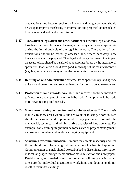organizations, and between such organizations and the government, should be set up to improve the sharing of information and proposed actions related to access to land and land administration.

- **Translation of legislation and other documents.** Essential legislation may have been translated from local languages for use by international specialists during the initial analysis of the legal framework. The quality of such translations should be carefully assessed and, where necessary, new translations should be prepared. Other legal and policy documents that impact on access to land should be translated as appropriate for use by the international specialists. Translators should have good knowledge of the technical content (e.g. law, economics, surveying) of the documents to be translated. 5.47
- **Refitting of land administration offices.** Office space for key land agency units should be refitted and secured in order for them to be able to operate. 5.48
- **Protection of land records.** Available land records should be moved to safe locations and copies of them should be made. Attempts should be made to retrieve missing land records. 5.49
- **Short-term training courses for land administration staff.** The analysis is likely to show areas where skills are weak or missing. Short courses should be designed and implemented for key personnel to rebuild the managerial, technical and administrative capacity of land agencies. For example, early training might include topics such as project management, and use of computers and modern surveying equipment. 5.50
- **Structures for communication.** Rumours may create insecurity and fear if people do not have a good knowledge of what is happening. Communication channels should be established to disseminate information in local languages through media such as radio, television and newspapers. Establishing good translation and interpretation facilities can be important to ensure that individual discussions, workshops and documents do not result in misunderstandings. 5.51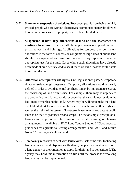- **Short-term suspension of evictions.** To prevent people from being unfairly evicted, people who are without alternative accommodation may be allowed to remain in possession of property for a defined limited period. 5.52
- **Suspension of new large allocations of land and the assessment of existing allocations.** In many conflicts people have taken opportunities to privatize vast land holdings. Applications for temporary or permanent allocations in the form of concessions or grants of large areas of public land should be suspended and analysed to see if they represent the most appropriate use for the land. Cases where such allocations have already been made should be reviewed to see if there are valid reasons for the state to recover the land. 5.53
- **Allocation of temporary use rights.** Until legislation is passed, temporary rights to use land might be granted. Temporary allocations should be clearly defined in order to avoid potential conflicts. It may be important to separate the ownership of land from its use. For example, there may be urgency to use productive land for economic recovery but this should not result in the legitimate owner losing the land. Owners may be willing to make their land available if short-term leases can be devised which protect their rights as well as the rights of the tenants. Short-term leases may allow vacant public lands to be used to produce seasonal crops. The use of simple, yet equitable, leases can be promoted. Information on establishing good leasing arrangements is available in FAO Land Tenure Studies 2 "Good practice guidelines for agricultural leasing arrangements", and FAO Land Tenure Notes 1 "Leasing agricultural land". 5.54
- **Temporary measures to deal with land claims.** Before the rules for treating land claims and land disputes are finalized, people may be able to inform a land agency of their intention to apply for their land to be restituted. The agency may hold this information on file until the process for resolving land claims can be implemented. 5.55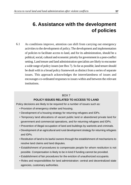# **6. Assistance with the development of policies**

As conditions improve, attention can shift from carrying out emergency activities to the development of policy. The development and implementation of policies to facilitate access to land, and for its administration, should be a political, social, cultural and economic priority for government in a post-conflict setting. Land tenure and land administration specialists are likely to encounter a wide range of policy issues (see Box 7). So far as possible, land tenure should be dealt with in a broad policy framework as distinct from a series of separate issues. This approach acknowledges the interrelatedness of issues and encourages co-ordinated responses to issues within and between the relevant institutions. 6.1

## BOX 7

## **POLICY ISSUES RELATED TO ACCESS TO LAND**

Policy decisions are likely to be required for a number of issues such as:

- Provision of emergency shelter and housing.
- Development of a housing strategy for returning refugees and IDPs.
- Temporary land allocations of vacant public land or abandoned private land for government and commercial operations, and for returning refugees and IDPs.
- Prevention of illegal occupation of land and buildings by warlords and criminals.
- Development of an agricultural and rural development strategy for returning refugees and IDPs.
- Restitution of land to its lawful owners through the establishment of mechanisms to resolve land claims and land disputes.
- Establishment of procedures to compensate people for whom restitution is not possible. Compensation is likely to be in kind if funding cannot be provided.
- Establishment of fair procedures for the eviction of unauthorized occupants.
- Roles and responsibilities for land administration: central and decentralized state agencies, customary authorities.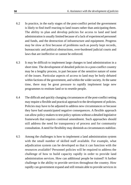- In practice, in the early stages of the post-conflict period the government is likely to find itself reacting to land issues rather than anticipating them. The ability to plan and develop policies for access to land and land administration is usually limited because of a lack of experienced personnel and funds, and the destruction of infrastructure and equipment. Progress may be slow at first because of problems such as poorly kept records, bureaucratic and political obstructions, over-burdened judicial courts and laws that are ineffective or cannot be enforced. 6.2
- It may be difficult to implement large changes to land administration in a short time. The development of detailed policies in a post-conflict country may be a lengthy process, in part because of the sensitive nature of some of the issues. Particular aspects of access to land may be hotly debated within factions of the government, and within the wider society. At the same time, there may be great pressure to rapidly implement large new programmes to restitute land or to resettle people. 6.3
- The difficult and quickly changing circumstances of the post-conflict setting may require a flexible and practical approach to the development of policies. Policies may have to be adjusted to address new circumstances or because they have had unanticipated negative consequences. A flexible approach can allow policy-makers to test policy options without a detailed legislative framework that requires continual amendment. Such approaches should still address the need for transparency of process and for community consultation. A need for flexibility may diminish as circumstances stabilize. 6.4
- Among the challenges is how to implement a land administration system with the small number of skilled staff available. For example, what adjudication system can be developed so that it can function with the resources available? Personnel policies will be required to address the challenge of how to build capacity rapidly in order to provide land administration services. How can additional people be trained? A further challenge is the ability to provide services throughout the country. How rapidly can government expand and still remain able to provide services in 6.5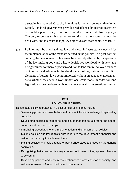a sustainable manner? Capacity in regions is likely to be lower than in the capital. Can local governments provide needed land administration services or should support come, even if only initially, from a centralized agency? The only responses to this reality are to prioritize the issues that must be dealt with, and to ensure that policy objectives are reasonable. See Box 8.

Policies must be translated into law and a legal infrastructure is needed for the implementation of the mandate defined in the policies. In a post-conflict country, the development of laws may be adversely affected by inexperience of the law-making body and a heavy legislative workload, with new laws being required for many aspects in addition to land tenure. An over-reliance on international advisors in the development of legislation may result in elements of foreign laws being imported without an adequate assessment as to whether they would work under local conditions. In order for land legislation to be consistent with local views as well as international human 6.6

#### BOX 8

#### **POLICY OBJECTIVES**

Reasonable policy approaches in a post-conflict setting may include:

- Developing policies and laws that are realistic about the ability to change long-standing behaviour.
- Developing policies in relation to land issues that can be tailored to the needs, priorities and practices of people.
- Simplifying procedures for the implementation and enforcement of policies.
- Making policies and law realistic with regard to the government's financial and institutional capacity to implement them.
- Making policies and laws capable of being understood and used by the general population.
- Recognising that some policies may create conflict even if they appear otherwise to be sound.
- Developing policies and laws in cooperation with a cross-section of society, and within a framework of reconciliation and compromise.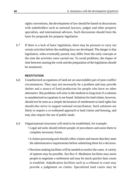rights conventions, the development of law should be based on discussions with stakeholders such as national lawyers, judges and other property specialists, and international advisors. Such discussions should form the basis for proposals for property legislation.

If there is a lack of basic legislation, there may be pressure to carry out certain activities before the enabling laws are developed. The danger is that legislation, when eventually passed, may differ from the early concepts at the time the activities were carried out. To avoid problems, the elapse of time between starting the work and the preparation of the legislation should be monitored. 6.7

## **RESTITUTION**

- Unauthorized occupations of land are an unavoidable part of post-conflict circumstances. They may not necessarily be a problem and may provide shelter and a source of food production for people who have no other alternative. But problems will arise in the medium to long-term if a solution to unauthorized occupations is not found. Solutions for land claims, however, should not be seen as a simple declaration of entitlement to land rights but should also strive to support national reconciliation. Such solutions are likely to require a co-ordinated approach to land claims and housing, and may also require the use of public lands. 6.8
- Organizational structures will need to be established, for example: 6.9
	- Legal aid units should inform people of procedures and assist them to complete necessary forms.
	- A claims processing unit should collect claims and ensure that they meet the administrative requirements before submitting them for a decision.
	- Decision-making facilities will be needed to resolve the cases. A variety of options may be possible. See Box 9. Mediation facilities may assist people to negotiate a settlement and may be much quicker than courts to establish. Adjudication facilities such as a tribunal or court may provide a judgement on claims. Specialized land courts may be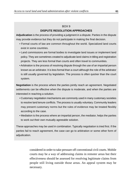# BOX 9 **DISPUTE RESOLUTION APPROACHES**

**Adjudication** is the process of providing a judgment in a dispute. Parties in the dispute may provide evidence but they do not participate in making the final decision.

- Formal courts of law are common throughout the world. Specialized land courts exist in some countries.
- Land commissions are formal bodies to investigate land issues or implement land policy. They are sometimes created to adjudicate land claims in titling and registration projects. They are less formal than courts and often travel to communities.
- Arbitration is the process of resolving dispute through the use of an impartial person known as an arbitrator. It is less formal than a court although the role of the arbitrator is still usually governed by legislation. The process is often quicker than the court system.

**Negotiation** is the process where the parties jointly reach an agreement. Negotiated settlements can be effective when the dispute is moderate, and when the parties are interested in reaching a solution.

- Customary negotiation mechanisms are commonly used in many customary societies to resolve land tenure conflicts. The process is usually voluntary. Community leaders may present customary norms but the rules of evidence may be treated flexibly according to the case.
- Mediation is the process where an impartial person, the mediator, helps the parties to work out their own mutually agreeable solution.

These approaches may be used in combination. Typically negotiation is tried first. If the parties fail to reach agreement, the case can go to arbitration or some other form of adiudication.

> considered in order to take pressure off conventional civil courts. Mobile courts may be a way of addressing claims in remoter areas but their effectiveness should be assessed for resolving legitimate claims from people still living outside those areas. An appeal system may be necessary.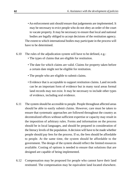- An enforcement unit should ensure that judgements are implemented. It may be necessary to evict people who do not obey an order of the court to vacate property. It may be necessary to ensure that local and national bodies are legally obliged to accept decisions of the restitution agency. The extent to which international bodies may participate in the process will have to be determined.
- The rules of the adjudication system will have to be defined, e.g.: 6.10
	- The types of claims that are eligible for restitution.
	- The date for which claims are valid. Claims for property taken before a certain date might not be eligible for restitution.
	- The people who are eligible to submit claims.
	- Evidence that is acceptable to support restitution claims. Land records can be an important form of evidence but in many rural areas formal land records may not exist. It may be necessary to include other types of evidence, including oral evidence.
- The system should be accessible to people. People throughout affected areas should be able to easily submit claims. However, care must be taken to ensure that systematic approaches are followed throughout the country as decentralized offices without sufficient expertise or capacity may result in the imposition of arbitrary rules. Forms and information on the process should be in local languages, and should be prepared in consideration of the literacy levels of the population. A decision will have to be made whether people should pay fees for the process. If so, the fees should be affordable to people. At the same time, the system should be affordable to the government. The design of the system should reflect the limited resources available. Costing of options is needed to ensure that solutions that are designed are capable of being implemented. 6.11
- Compensation may be proposed for people who cannot have their land restituted. The compensation may be equivalent land located elsewhere. 6.12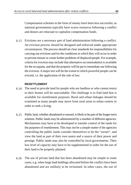Compensation schemes in the form of money have been less successful, as national governments typically have scarce resources following a conflict and donors are reluctant to capitalize compensation funds.

Evictions are a necessary part of land administration following a conflict. 6.13 An eviction process should be designed and enforced under appropriate circumstances. The process should set clear standards for responsibilities for carrying out evictions and for the conditions in which they will occur in order to prevent misuse or create further problems of displaced people. For example, criteria for eviction may include that alternative accommodation is available for the occupants, and that the property will be put to immediate use following the eviction. A major test will be the extent to which powerful people can be evicted, i.e. the application of the rule of law.

### **RESETTLEMENT**

- The need to provide land for people who are landless or who cannot return to their homes will be unavoidable. The challenge is to find land that is available for resettlement purposes. Rural and urban linkages should be examined as many people may move from rural areas to urban centres in order to seek a living. 6.14
- Public land, whether abandoned or unused, is likely to be part of the longer-term solution. Public lands may be administered by a number of different agencies. Mechanisms may have to be developed to transfer control of the lands for the purposes of resettlement. This may not be a simple matter if the agencies controlling the public lands consider themselves to be the "owner", and view the land as part of their own assets and a source of their power and prestige. Public lands may also be controlled by local governments. Their low level of capacity may have to be supplemented in order for the use of their land to be properly planned. 6.15
- The use of private land that has been abandoned may be simple in some cases, e.g. when large land holdings allocated before the conflict have been abandoned and are unlikely to be reclaimed. In other cases, the use of 6.16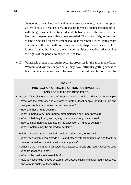abandoned private land, and land under customary tenure, may be complex. Care will have to be taken to ensure that problems do not become magnified, with the government creating a dispute between itself, the owners of the land, and the people who have been resettled. The nature of rights attached to land being used for resettlement should be researched carefully to ensure that users of the land will not be inadvertently dispossessed as a result. It is essential that the rights of the host communities are addressed as well as the rights of the people to be settled. See Box 10.

Vulnerable groups may require separate processes for the allocation of land. 6.17 Women, and widows in particular, may have difficulty getting access to land under customary law. The needs of the vulnerable poor may be

#### $ROX$  10

# **PROTECTION OF RIGHTS OF HOST COMMUNITIES AND PEOPLE TO BE RESETTLED**

In the case of resettlement, the rights of host communities should be addressed, for example:

- What are the statutory and customary rights of local people (as individuals and groups) over land and other natural resources?
- How are these rights acquired?
- What is their quality under normal circumstances and under pressure?
- What is their legitimacy and legality in a local and regional context?
- How will their rights be affected by the allocation of rights to settlers?
- What problems may be created by settlers?

The rights of people to be resettled should be addressed, for example:

- What mechanisms can provide IDPs and others with legal rights for land that they have occupied for some time without complaints?
- What are the mechanisms for settlers to get access to land and natural resource use?
- Who issues these rights?
- What is the quality of these rights?
- How do households headed by women get access to land and other natural resources and what is quality of these rights?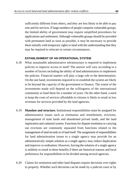sufficiently different from others, and they are less likely to be able to pay rent and for services. If large numbers of people comprise vulnerable groups, the limited ability of government may require simplified procedures for applications and settlement. Although vulnerable groups should be provided with permanent land as soon as possible, it may be necessary to provide them initially with temporary rights to land with the understanding that they may be required to relocate in certain circumstances.

## **ESTABLISHMENT OF AN OPERATIONAL SYSTEM**

- What sustainable administrative infrastructure is required to implement policies to improve access to land? The answer will vary according to a number of factors including the ability of land administrators to implement the policies. Financial matters will play a large role in the determination. On the one hand, investments required to re-establish the system are likely to be beyond the capacity of the government to finance. The extent of the investments made will depend on the willingness of the international community to fund them for a number of years. On the other hand, a need to keep the costs of services affordable to citizens is likely to result in low revenues for services provided by the land agencies. 6.18
- **Mandate and structure.** Institutional responsibilities must be assigned for administrative issues such as restitution and resettlement, evictions, management of state lands and abandoned private lands, and the land registration and cadastral system. Functions for dispute resolution or carrying out evictions are commonly separated from functions related to the management of land records or of land itself. The assignment of responsibilities for land administration issues to a single agency may provide for an administratively simple solution as a single agency may reduce duplication and improve co-ordination. However, forcing the solution of a single agency is unlikely to result in these benefits if there are historical reasons and local preferences for responsibilities to be divided among several agencies. 6.19
- Claims for restitution and other land disputes require decisions over rights to property. Whether such decisions can be made by a judicial court or by 6.20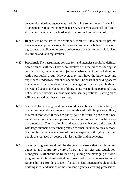an administrative land agency may be defined in the constitution. If a judicial arrangement is required, it may be necessary to create a special land court if the court system is over-burdened with criminal and other civil cases.

- Regardless of the structure developed, there will be a need for project management approaches to establish good co-ordination between processes, e.g. to ensure the flow of information between agencies responsible for land restitution and land registration. 6.21
- **Personnel.** The recruitment policies for land agencies should be defined. Some trained staff may have been involved with malpractices during the conflict, or may be regarded as objectionable because of their collaboration with a particular group. However, they may have the knowledge and experience needed to re-establish operations. The costs of excluding access to the potentially valuable stock of knowledge held by such people should be weighed against the benefits of doing so. Lower-ranking personnel may not be as controversial as those who held senior positions. Staffing plans will need to address these constraints. 6.22
- Standards for working conditions should be established. Sustainability of operations depends on competent and motivated staff. People are unlikely to remain motivated if they are poorly paid and work in poor conditions, and if promotion depends on personal connections rather than qualifications or competence. The situation in land agencies can become quite unstable with large numbers of staff being rotated to other units for political reasons. Such mobility can cause a loss of morale, especially if highly qualified people are replaced by people with less ability and knowledge. 6.23
- Training programmes should be designed to ensure that people in land agencies and courts are aware of new land policies and legislation. Managerial staff should be trained on planning and managing the work programme. Professional staff should be trained to carry out new technical responsibilities. Building capacity for staff in land agencies should include building ideas and visions of the new land agencies, creating professional 6.24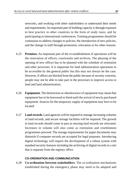networks, and working with other stakeholders to understand their needs and requirements. An important part of building capacity is through exposure to best practice in other countries in the form of study tours, and by participating in international conferences. Training programmes should be continuous to address changes to policies, the introduction of new policies, and the change in staff through promotion, relocation or for other reasons.

- **Premises.** An important part of the re-establishment of operations will be the renovation of offices, courtrooms and archives. The phasing of the opening of new offices has to be planned with the schedule of restitution and other processes. It is important for land administration operations to be accessible by the general public but this may not always be the case. However, if offices are blocked from the public because of security concerns, people may not be able to take part in the processes to improve access to land and land administration. 6.25
- **Equipment.** The destruction or obsolescence of equipment may mean that equipment has to be borrowed or hired until the arrival of newly purchased equipment. Sources for the temporary supply of equipment may have to be located. 6.26
- **Land records.** Land agencies will be required to manage increasing volumes of land records, and secure storage facilities will be required. The growth in land records should come in part as missing land records are relocated. Increases in volume will also come as restitution and resettlement programmes proceed. The storage requirements for paper documents may diminish if computer records are accepted for legal purposes. Introducing digital technology will require the development of a robust system with standard security features including the archiving of digital records in a site that is separate from the registry office. 6.27

#### **CO-ORDINATION AND COMMUNICATION**

**Co-ordination between stakeholders.** The co-ordination mechanisms 6.28established during the emergency phase may need to be adapted and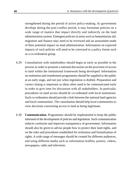strengthened during the period of active policy-making. As government develops during the post-conflict period, it may formulate policies on a wide range of matters that impact directly and indirectly on the land administration system. Emergent policies in areas such as humanitarian aid, migration and finance may need to be reviewed and an assessment made of their potential impact on land administration. Information on expected impacts of such policies will need to be conveyed to a policy forum such as a co-ordination group.

- Consultations with stakeholders should begin as early as possible in the process in order to promote a national discussion on the provision of access to land within the institutional framework being developed. Information on restitution and resettlement programmes should be supplied to the public at an early stage, and not just when legislation is drafted. Preparation and correct timing is important as ideas often need to be communicated early in order to give time for discussion with all stakeholders. In particular, procedures on land access should be co-ordinated with local institutions. Such co-ordination should provide a link between the national land agencies and local communities. The consultation should help local communities to view decisions concerning access to land as being legitimate. 6.29
- **Communication.** Programmes should be implemented to keep the public informed of the development of policies and legislation. Such communication reduces confusion and improves transparency of government. Information should also be given to advise people how to protect their land rights, and on the rules and procedures established for restitution and formalization of rights. A wide range of messages should be created for different audiences, and using different media such as information leaflets, posters, videos, newspapers, radio and television. 6.30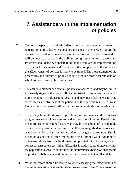# **7. Assistance with the implementation of policies**

- Technical aspects of land administration, such as the establishment of registration and cadastre systems, are not ends in themselves but are the means to respond to the needs of people for more secure access to land. It will be necessary to ask if the policies being implemented are working. Processes should be developed to monitor and evaluate the implementation of policies for access to land. Because of the complexity of the situation, the effectiveness of policies is likely to be mixed. The measurement of the procedures and outputs of policies should produce more accurate data on which to base future policy initiatives. 7.1
- The ability to monitor and evaluate policies for access to land may be limited in the early stages of the post-conflict administration. Pressures for the rapid implementation of policies for access to land may mean that there is no time to review the effectiveness of the policies and their procedures. There is also likely to be a shortage of staff with expertise in monitoring and evaluation. 7.2
- There may be methodological problems in monitoring and evaluating programmes to provide access to land and security of tenure. Establishing the appropriate indicators for analysis may be the subject of considerable debate. In the post-conflict setting difficulties are magnified as factors such as the destruction of land records are added to the general problems. Simple quantitative analysis is often impossible or is of limited value. Attempts to obtain useful data from the field can be complicated if it is too dangerous to collect data in some areas. Other difficulties include a continuing fear within the population to speak to authorities, the circumstances being too changeable to produce reliable data, and limited resources available to collect data. 7.3
- What indicators should be looked to when assessing the effectiveness of the implementation of strategies to improve access to land? Because of the 7.4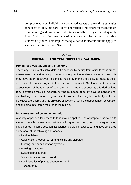complementary but individually specialized aspects of the various strategies for access to land, there are likely to be variable indicators for the purposes of monitoring and evaluation. Indicators should be of a type that adequately identify the true circumstances of access to land for women and other vulnerable groups. This implies that qualitative indicators should apply as well as quantitative ones. See Box 11.

## BOX 11 **INDICATORS FOR MONITORING AND EVALUATION**

#### **Preliminary evaluations and indicators**

There may be a lack of reliable data in the post-conflict setting from which to make proper assessments of land tenure problems. Some quantitative data such as land records may have been destroyed in conflict thus preventing the ability to make a quick assessment of official rights before the time of conflict. Qualitative data such as assessments of the fairness of land laws and the nature of security afforded by land tenure systems may be important for the purposes of policy development and reestablishing the operations of government. However, they may be practically irrelevant if the laws are ignored and the only type of security of tenure is dependent on occupation and the amount of force required to maintain it.

#### **Indicators for policy implementation**

A variety of policies for access to land may be applied. The appropriate indicators to assess the effectiveness of policies will depend on the type of strategies being implemented. In some post-conflict settings, policies on access to land have employed some or all of the following approaches:

- Land legislation;
- Adjudication procedures for land claims and disputes;
- Existing land administration systems;
- Housing strategies;
- Evictions procedures;
- Administration of state-owned land;
- Administration of private abandoned land;
- Transparency.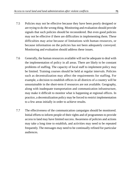- Policies may not be effective because they have been poorly designed or are trying to do the wrong thing. Monitoring and evaluation should provide signals that such policies should be reconsidered. But even good policies may not be effective if there are difficulties in implementing them. These difficulties may arise because of limitations with human resources, or because information on the policies has not been adequately conveyed. Monitoring and evaluation should address these issues. 7.5
- Generally, the human resources available will not be adequate to deal with the implementation of policy in all areas. There are likely to be constant problems of staffing. The capacity of local staff to implement policy may be limited. Training courses should be held at regular intervals. Policies such as decentralization may affect the requirements for staffing. For example, a decision to establish offices in all districts of a country will be unsustainable in the short-term if resources are not available. Geography, along with inadequate transportation and communication infrastructure, may make it difficult to monitor what is happening at regional offices. In practice, a decentralization policy may be forced to restrict implementation to a few areas initially in order to achieve results. 7.6
- The effectiveness of the communication campaigns should be monitored. Initial efforts to inform people of their rights and of programmes to provide access to land may have limited success. Awareness of policies and actions may take a long time to establish, and activities may need to be repeated frequently. The messages may need to be continually refined for particular audiences. 7.7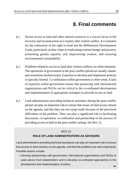## **8. Final comments**

- Secure access to land and other natural resources is a crucial factor in the recovery and reconstruction of a country after violent conflict. It is essential for the realization of the right to food and the Millennium Development Goals, particularly as they relate to eradicating extreme hunger and poverty, promoting gender equality and empowering women, and ensuring environmental sustainability. 8.1
- Problems related to access to land after violent conflicts are often immense. The operations of government in the post-conflict period are usually chaotic and sometimes dysfunctional. Expertise to develop and implement policies is typically limited. Co-ordination within government is often weak. A lack of expertise within government means that partnering with international organizations and NGOs can be critical to the co-ordinated development and implementation of appropriate strategies to provide access to land. 8.2
- Land administrators providing technical assistance during the post-conflict period can play an important role to ensure that issues of land access remain on the agenda, and that they are not swept aside because of the perceived difficulties of the problem. They can play a significant role in facilitating discussion, co-operation, co-ordination and partnership in the process of providing access to land in the post-conflict setting. See Box 12. 8.3

#### $ROX 12$

### **ROLE OF LAND ADMINISTRATORS AS ADVISORS**

Land administrators providing technical assistance can play an important role to ensure that access to land remains on the agenda, and that the problems are well understood. Possible actions include:

• Develop partnerships with government, international organizations and NGOs to seek advice from stakeholders and to develop co-ordinated approaches to the development and implementation of policy. →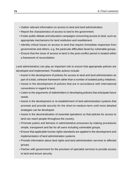- Gather relevant information on access to land and land administration.
- Report the characteristics of access to land to the government.
- Foster public debate and education campaigns concerning access to land, such as appropriate mechanisms for land restitution and resettlement.
- Identify critical issues on access to land that require immediate responses from governments and others, e.g. the particular difficulties faced by vulnerable groups.
- Ensure that the issue of access to land in the post-conflict period is treated within a framework of reconciliation.

Land administrators can play an important role to ensure that appropriate policies are developed and implemented. Possible actions include:

- Assist in the development of policies for access to land and land administration as part of a total, cohesive framework rather than a number of isolated policy initiatives.
- Assist in the development of policies that are in accordance with international conventions in regard to land.
- Listen to the arguments of stakeholders in developing policies that anticipate future needs.
- Assist in the development or re-establishment of land administration systems that promote and provide security for the short-to-medium-term until more detailed strategies can be developed.
- Assist in the decentralization of essential operations so that policies for access to land can reach people throughout the country.
- Promote justice and fairness in administrative processes by making procedures simple, transparent and fair for all users including vulnerable groups.
- Ensure that applicable human rights standards are applied in the development and implementation of land administration systems.
- Provide information about land rights and land administration services to affected groups.
- Partner with government for the provision of specialist services to provide access to land and tenure security.